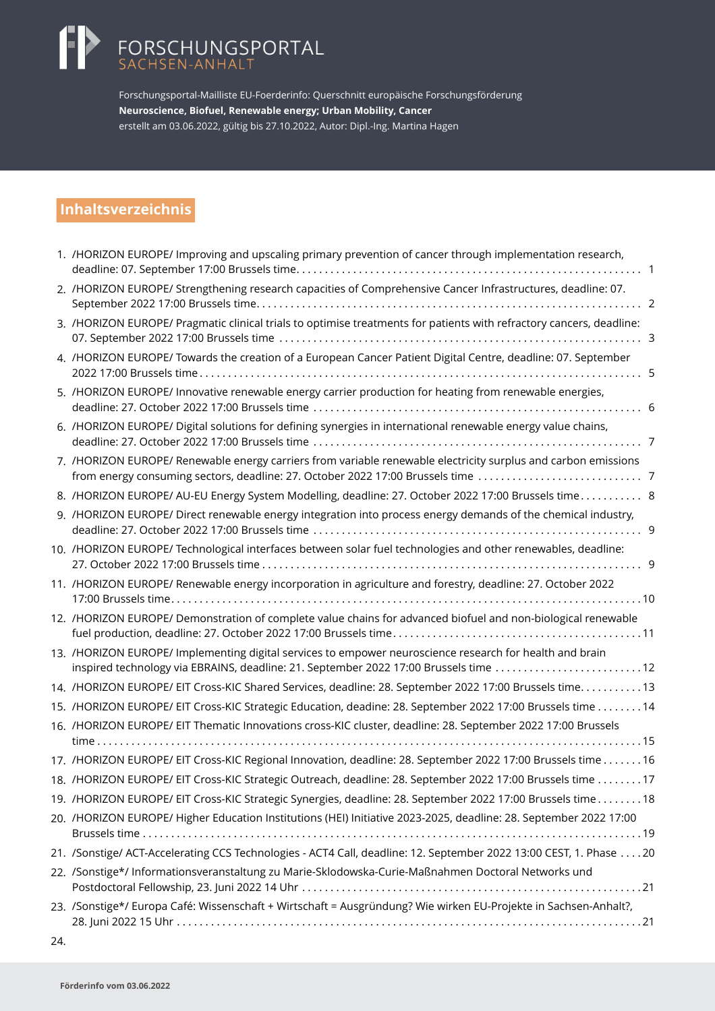# FORSCHUNGSPORTAL<br>SACHSEN-ANHALT

Forschungsportal-Mailliste EU-Foerderinfo: Querschnitt europäische Forschungsförderung **Neuroscience, Biofuel, Renewable energy; Urban Mobility, Cancer** erstellt am 03.06.2022, gültig bis 27.10.2022, Autor: Dipl.-Ing. Martina Hagen

### **Inhaltsverzeichnis**

| 1. /HORIZON EUROPE/ Improving and upscaling primary prevention of cancer through implementation research,<br>. 1                                                                                 |   |
|--------------------------------------------------------------------------------------------------------------------------------------------------------------------------------------------------|---|
| 2. /HORIZON EUROPE/ Strengthening research capacities of Comprehensive Cancer Infrastructures, deadline: 07.                                                                                     |   |
| 3. /HORIZON EUROPE/ Pragmatic clinical trials to optimise treatments for patients with refractory cancers, deadline:                                                                             | 3 |
| 4. /HORIZON EUROPE/ Towards the creation of a European Cancer Patient Digital Centre, deadline: 07. September                                                                                    | 5 |
| 5. /HORIZON EUROPE/ Innovative renewable energy carrier production for heating from renewable energies,                                                                                          |   |
| 6. /HORIZON EUROPE/ Digital solutions for defining synergies in international renewable energy value chains,                                                                                     |   |
| 7. /HORIZON EUROPE/ Renewable energy carriers from variable renewable electricity surplus and carbon emissions                                                                                   |   |
| 8. /HORIZON EUROPE/ AU-EU Energy System Modelling, deadline: 27. October 2022 17:00 Brussels time 8                                                                                              |   |
| 9. /HORIZON EUROPE/ Direct renewable energy integration into process energy demands of the chemical industry,                                                                                    |   |
| 10. /HORIZON EUROPE/ Technological interfaces between solar fuel technologies and other renewables, deadline:                                                                                    |   |
| 11. /HORIZON EUROPE/ Renewable energy incorporation in agriculture and forestry, deadline: 27. October 2022                                                                                      |   |
| 12. /HORIZON EUROPE/ Demonstration of complete value chains for advanced biofuel and non-biological renewable                                                                                    |   |
| 13. /HORIZON EUROPE/ Implementing digital services to empower neuroscience research for health and brain<br>inspired technology via EBRAINS, deadline: 21. September 2022 17:00 Brussels time 12 |   |
| 14. /HORIZON EUROPE/ EIT Cross-KIC Shared Services, deadline: 28. September 2022 17:00 Brussels time13                                                                                           |   |
| 15. /HORIZON EUROPE/ EIT Cross-KIC Strategic Education, deadine: 28. September 2022 17:00 Brussels time 14                                                                                       |   |
| 16. /HORIZON EUROPE/ EIT Thematic Innovations cross-KIC cluster, deadline: 28. September 2022 17:00 Brussels                                                                                     |   |
|                                                                                                                                                                                                  |   |
| 17. /HORIZON EUROPE/ EIT Cross-KIC Regional Innovation, deadline: 28. September 2022 17:00 Brussels time16                                                                                       |   |
| 18. /HORIZON EUROPE/ EIT Cross-KIC Strategic Outreach, deadline: 28. September 2022 17:00 Brussels time 17                                                                                       |   |
| 19. /HORIZON EUROPE/ EIT Cross-KIC Strategic Synergies, deadline: 28. September 2022 17:00 Brussels time18                                                                                       |   |
| 20. /HORIZON EUROPE/ Higher Education Institutions (HEI) Initiative 2023-2025, deadline: 28. September 2022 17:00                                                                                |   |
| 21. /Sonstige/ ACT-Accelerating CCS Technologies - ACT4 Call, deadline: 12. September 2022 13:00 CEST, 1. Phase 20                                                                               |   |
| 22. /Sonstige*/ Informationsveranstaltung zu Marie-Sklodowska-Curie-Maßnahmen Doctoral Networks und                                                                                              |   |
| 23. /Sonstige*/ Europa Café: Wissenschaft + Wirtschaft = Ausgründung? Wie wirken EU-Projekte in Sachsen-Anhalt?,                                                                                 |   |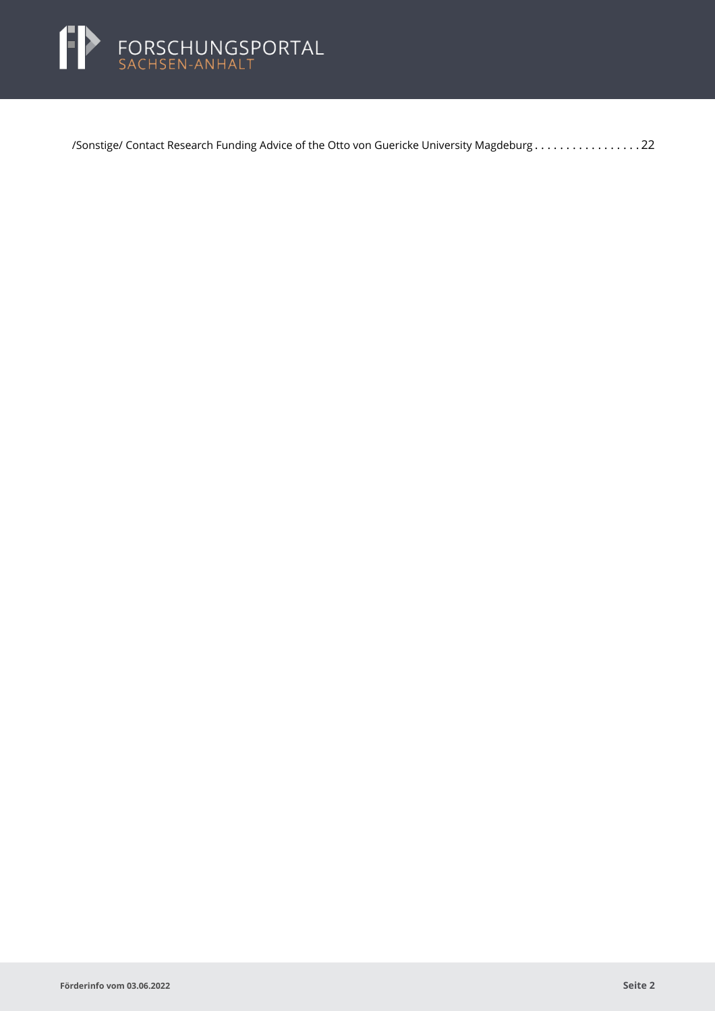

[/Sonstige/ Contact Research Funding Advice of the Otto von Guericke University Magdeburg](#page-22-0) . . . . . . . . . . . . . . . . . 22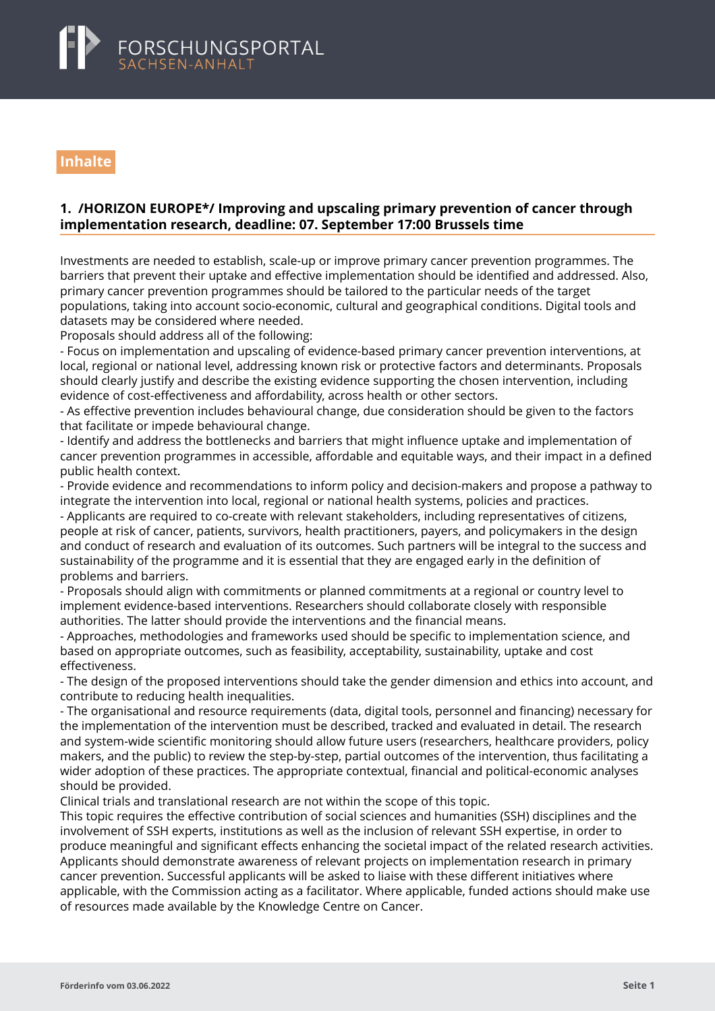<span id="page-2-0"></span>

### **Inhalte**

#### **1. /HORIZON EUROPE\*/ Improving and upscaling primary prevention of cancer through implementation research, deadline: 07. September 17:00 Brussels time**

Investments are needed to establish, scale-up or improve primary cancer prevention programmes. The barriers that prevent their uptake and effective implementation should be identified and addressed. Also, primary cancer prevention programmes should be tailored to the particular needs of the target populations, taking into account socio-economic, cultural and geographical conditions. Digital tools and datasets may be considered where needed.

Proposals should address all of the following:

- Focus on implementation and upscaling of evidence-based primary cancer prevention interventions, at local, regional or national level, addressing known risk or protective factors and determinants. Proposals should clearly justify and describe the existing evidence supporting the chosen intervention, including evidence of cost-effectiveness and affordability, across health or other sectors.

- As effective prevention includes behavioural change, due consideration should be given to the factors that facilitate or impede behavioural change.

- Identify and address the bottlenecks and barriers that might influence uptake and implementation of cancer prevention programmes in accessible, affordable and equitable ways, and their impact in a defined public health context.

- Provide evidence and recommendations to inform policy and decision-makers and propose a pathway to integrate the intervention into local, regional or national health systems, policies and practices.

- Applicants are required to co-create with relevant stakeholders, including representatives of citizens, people at risk of cancer, patients, survivors, health practitioners, payers, and policymakers in the design and conduct of research and evaluation of its outcomes. Such partners will be integral to the success and sustainability of the programme and it is essential that they are engaged early in the definition of problems and barriers.

- Proposals should align with commitments or planned commitments at a regional or country level to implement evidence-based interventions. Researchers should collaborate closely with responsible authorities. The latter should provide the interventions and the financial means.

- Approaches, methodologies and frameworks used should be specific to implementation science, and based on appropriate outcomes, such as feasibility, acceptability, sustainability, uptake and cost effectiveness.

- The design of the proposed interventions should take the gender dimension and ethics into account, and contribute to reducing health inequalities.

- The organisational and resource requirements (data, digital tools, personnel and financing) necessary for the implementation of the intervention must be described, tracked and evaluated in detail. The research and system-wide scientific monitoring should allow future users (researchers, healthcare providers, policy makers, and the public) to review the step-by-step, partial outcomes of the intervention, thus facilitating a wider adoption of these practices. The appropriate contextual, financial and political-economic analyses should be provided.

Clinical trials and translational research are not within the scope of this topic.

This topic requires the effective contribution of social sciences and humanities (SSH) disciplines and the involvement of SSH experts, institutions as well as the inclusion of relevant SSH expertise, in order to produce meaningful and significant effects enhancing the societal impact of the related research activities. Applicants should demonstrate awareness of relevant projects on implementation research in primary cancer prevention. Successful applicants will be asked to liaise with these different initiatives where applicable, with the Commission acting as a facilitator. Where applicable, funded actions should make use of resources made available by the Knowledge Centre on Cancer.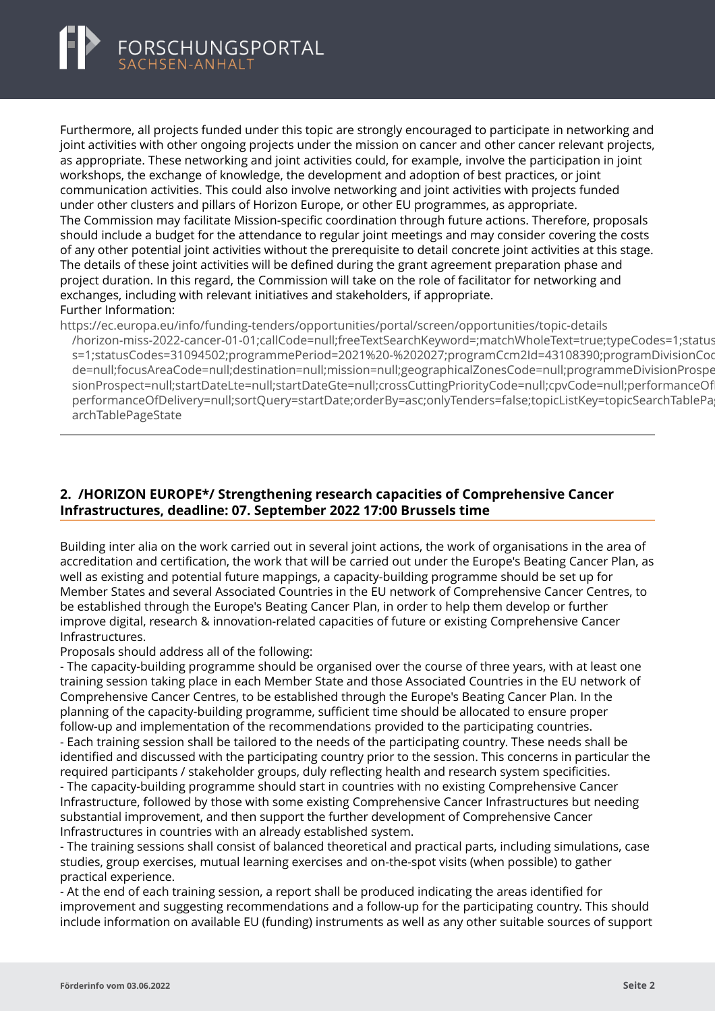<span id="page-3-0"></span>

Furthermore, all projects funded under this topic are strongly encouraged to participate in networking and joint activities with other ongoing projects under the mission on cancer and other cancer relevant projects, as appropriate. These networking and joint activities could, for example, involve the participation in joint workshops, the exchange of knowledge, the development and adoption of best practices, or joint communication activities. This could also involve networking and joint activities with projects funded under other clusters and pillars of Horizon Europe, or other EU programmes, as appropriate. The Commission may facilitate Mission-specific coordination through future actions. Therefore, proposals should include a budget for the attendance to regular joint meetings and may consider covering the costs of any other potential joint activities without the prerequisite to detail concrete joint activities at this stage. The details of these joint activities will be defined during the grant agreement preparation phase and project duration. In this regard, the Commission will take on the role of facilitator for networking and exchanges, including with relevant initiatives and stakeholders, if appropriate. Further Information:

https://ec.europa.eu/info/funding-tenders/opportunities/portal/screen/opportunities/topic-details

/horizon-miss-2022-cancer-01-01:callCode=null:freeTextSearchKeyword=:matchWholeText=true;typeCodes=1:status s=1;statusCodes=31094502;programmePeriod=2021%20-%202027;programCcm2ld=43108390;programDivisionCoo de=null;focusAreaCode=null;destination=null;mission=null;geographicalZonesCode=null;programmeDivisionProspe sionProspect=null;startDateLte=null;startDateGte=null;crossCuttingPriorityCode=null;cpvCode=null;performanceOf performanceOfDelivery=null;sortQuery=startDate;orderBy=asc;onlyTenders=false;topicListKey=topicSearchTablePa archTablePageState

#### **2. /HORIZON EUROPE\*/ Strengthening research capacities of Comprehensive Cancer Infrastructures, deadline: 07. September 2022 17:00 Brussels time**

Building inter alia on the work carried out in several joint actions, the work of organisations in the area of accreditation and certification, the work that will be carried out under the Europe's Beating Cancer Plan, as well as existing and potential future mappings, a capacity-building programme should be set up for Member States and several Associated Countries in the EU network of Comprehensive Cancer Centres, to be established through the Europe's Beating Cancer Plan, in order to help them develop or further improve digital, research & innovation-related capacities of future or existing Comprehensive Cancer Infrastructures.

Proposals should address all of the following:

- The capacity-building programme should be organised over the course of three years, with at least one training session taking place in each Member State and those Associated Countries in the EU network of Comprehensive Cancer Centres, to be established through the Europe's Beating Cancer Plan. In the planning of the capacity-building programme, sufficient time should be allocated to ensure proper follow-up and implementation of the recommendations provided to the participating countries.

- Each training session shall be tailored to the needs of the participating country. These needs shall be identified and discussed with the participating country prior to the session. This concerns in particular the required participants / stakeholder groups, duly reflecting health and research system specificities.

- The capacity-building programme should start in countries with no existing Comprehensive Cancer Infrastructure, followed by those with some existing Comprehensive Cancer Infrastructures but needing substantial improvement, and then support the further development of Comprehensive Cancer Infrastructures in countries with an already established system.

- The training sessions shall consist of balanced theoretical and practical parts, including simulations, case studies, group exercises, mutual learning exercises and on-the-spot visits (when possible) to gather practical experience.

- At the end of each training session, a report shall be produced indicating the areas identified for improvement and suggesting recommendations and a follow-up for the participating country. This should include information on available EU (funding) instruments as well as any other suitable sources of support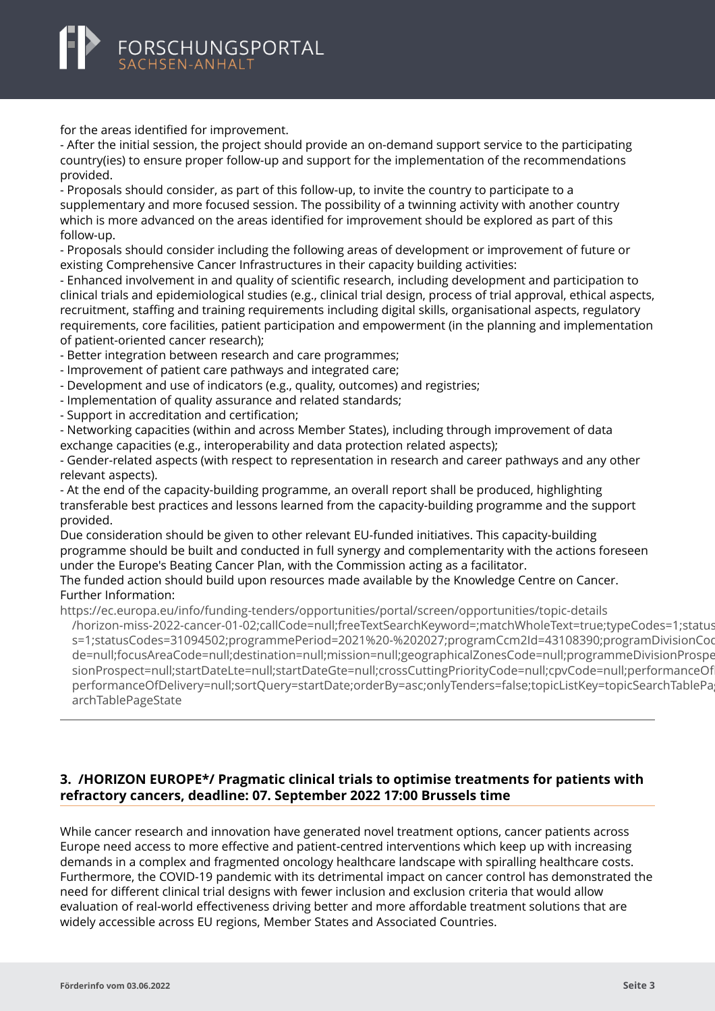## <span id="page-4-0"></span>FORSCHUNGSPORTAL

for the areas identified for improvement.

- After the initial session, the project should provide an on-demand support service to the participating country(ies) to ensure proper follow-up and support for the implementation of the recommendations provided.

- Proposals should consider, as part of this follow-up, to invite the country to participate to a supplementary and more focused session. The possibility of a twinning activity with another country which is more advanced on the areas identified for improvement should be explored as part of this follow-up.

- Proposals should consider including the following areas of development or improvement of future or existing Comprehensive Cancer Infrastructures in their capacity building activities:

- Enhanced involvement in and quality of scientific research, including development and participation to clinical trials and epidemiological studies (e.g., clinical trial design, process of trial approval, ethical aspects, recruitment, staffing and training requirements including digital skills, organisational aspects, regulatory requirements, core facilities, patient participation and empowerment (in the planning and implementation of patient-oriented cancer research);

- Better integration between research and care programmes;

- Improvement of patient care pathways and integrated care;
- Development and use of indicators (e.g., quality, outcomes) and registries;
- Implementation of quality assurance and related standards;
- Support in accreditation and certification;

- Networking capacities (within and across Member States), including through improvement of data exchange capacities (e.g., interoperability and data protection related aspects);

- Gender-related aspects (with respect to representation in research and career pathways and any other relevant aspects).

- At the end of the capacity-building programme, an overall report shall be produced, highlighting transferable best practices and lessons learned from the capacity-building programme and the support provided.

Due consideration should be given to other relevant EU-funded initiatives. This capacity-building programme should be built and conducted in full synergy and complementarity with the actions foreseen under the Europe's Beating Cancer Plan, with the Commission acting as a facilitator.

The funded action should build upon resources made available by the Knowledge Centre on Cancer. Further Information:

https://ec.europa.eu/info/funding-tenders/opportunities/portal/screen/opportunities/topic-details

[/horizon-miss-2022-cancer-01-02;callCode=null;freeTextSearchKeyword=;matchWholeText=true;typeCode](https://ec.europa.eu/info/funding-tenders/opportunities/portal/screen/opportunities/topic-details/horizon-miss-2022-cancer-01-02;callCode=null;freeTextSearchKeyword=;matchWholeText=true;typeCodes=1;statusCodes=31094502;programmePeriod=2021%20-%202027;programCcm2Id=43108390;programDivisionCode=null;focusAreaCode=null;destination=null;mission=null;geographicalZonesCode=null;programmeDivisionProspect=null;startDateLte=null;startDateGte=null;crossCuttingPriorityCode=null;cpvCode=null;performanceOfDelivery=null;sortQuery=startDate;orderBy=asc;onlyTenders=false;topicListKey=topicSearchTablePageState)s=1;statusCodes=31094502;programmePeriod=2021%20-%202027;programCcm2Id=43108390;programDivisionCo s=1;statusCodes=31094502;programmePeriod=2021%20-%202027;programCcm2ld=43108390;programDivisionCoo de=null;focusAreaCode=null;destination=null;mission=null;geographicalZonesCode=null;programmeDivisionProspe sionProspect=null;startDateLte=null;startDateGte=null;crossCuttingPriorityCode=null;cpvCode=null;performanceOf performanceOfDelivery=null;sortQuery=startDate;orderBy=asc;onlyTenders=false;topicListKey=topicSearchTablePa archTablePageState

#### **3. /HORIZON EUROPE\*/ Pragmatic clinical trials to optimise treatments for patients with refractory cancers, deadline: 07. September 2022 17:00 Brussels time**

While cancer research and innovation have generated novel treatment options, cancer patients across Europe need access to more effective and patient-centred interventions which keep up with increasing demands in a complex and fragmented oncology healthcare landscape with spiralling healthcare costs. Furthermore, the COVID-19 pandemic with its detrimental impact on cancer control has demonstrated the need for different clinical trial designs with fewer inclusion and exclusion criteria that would allow evaluation of real-world effectiveness driving better and more affordable treatment solutions that are widely accessible across EU regions, Member States and Associated Countries.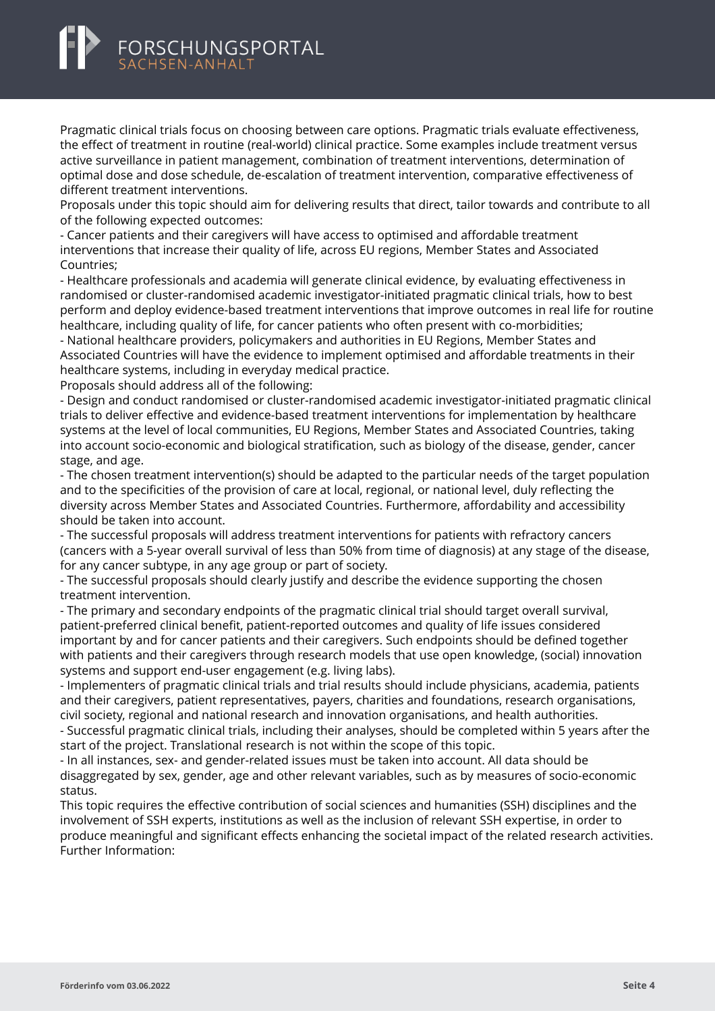# FORSCHUNGSPORTAL

Pragmatic clinical trials focus on choosing between care options. Pragmatic trials evaluate effectiveness, the effect of treatment in routine (real-world) clinical practice. Some examples include treatment versus active surveillance in patient management, combination of treatment interventions, determination of optimal dose and dose schedule, de-escalation of treatment intervention, comparative effectiveness of different treatment interventions.

Proposals under this topic should aim for delivering results that direct, tailor towards and contribute to all of the following expected outcomes:

- Cancer patients and their caregivers will have access to optimised and affordable treatment interventions that increase their quality of life, across EU regions, Member States and Associated Countries;

- Healthcare professionals and academia will generate clinical evidence, by evaluating effectiveness in randomised or cluster-randomised academic investigator-initiated pragmatic clinical trials, how to best perform and deploy evidence-based treatment interventions that improve outcomes in real life for routine healthcare, including quality of life, for cancer patients who often present with co-morbidities;

- National healthcare providers, policymakers and authorities in EU Regions, Member States and Associated Countries will have the evidence to implement optimised and affordable treatments in their healthcare systems, including in everyday medical practice.

Proposals should address all of the following:

- Design and conduct randomised or cluster-randomised academic investigator-initiated pragmatic clinical trials to deliver effective and evidence-based treatment interventions for implementation by healthcare systems at the level of local communities, EU Regions, Member States and Associated Countries, taking into account socio-economic and biological stratification, such as biology of the disease, gender, cancer stage, and age.

- The chosen treatment intervention(s) should be adapted to the particular needs of the target population and to the specificities of the provision of care at local, regional, or national level, duly reflecting the diversity across Member States and Associated Countries. Furthermore, affordability and accessibility should be taken into account.

- The successful proposals will address treatment interventions for patients with refractory cancers (cancers with a 5-year overall survival of less than 50% from time of diagnosis) at any stage of the disease, for any cancer subtype, in any age group or part of society.

- The successful proposals should clearly justify and describe the evidence supporting the chosen treatment intervention.

- The primary and secondary endpoints of the pragmatic clinical trial should target overall survival, patient-preferred clinical benefit, patient-reported outcomes and quality of life issues considered important by and for cancer patients and their caregivers. Such endpoints should be defined together with patients and their caregivers through research models that use open knowledge, (social) innovation systems and support end-user engagement (e.g. living labs).

- Implementers of pragmatic clinical trials and trial results should include physicians, academia, patients and their caregivers, patient representatives, payers, charities and foundations, research organisations, civil society, regional and national research and innovation organisations, and health authorities.

- Successful pragmatic clinical trials, including their analyses, should be completed within 5 years after the start of the project. Translational research is not within the scope of this topic.

- In all instances, sex- and gender-related issues must be taken into account. All data should be disaggregated by sex, gender, age and other relevant variables, such as by measures of socio-economic status.

This topic requires the effective contribution of social sciences and humanities (SSH) disciplines and the involvement of SSH experts, institutions as well as the inclusion of relevant SSH expertise, in order to produce meaningful and significant effects enhancing the societal impact of the related research activities. Further Information: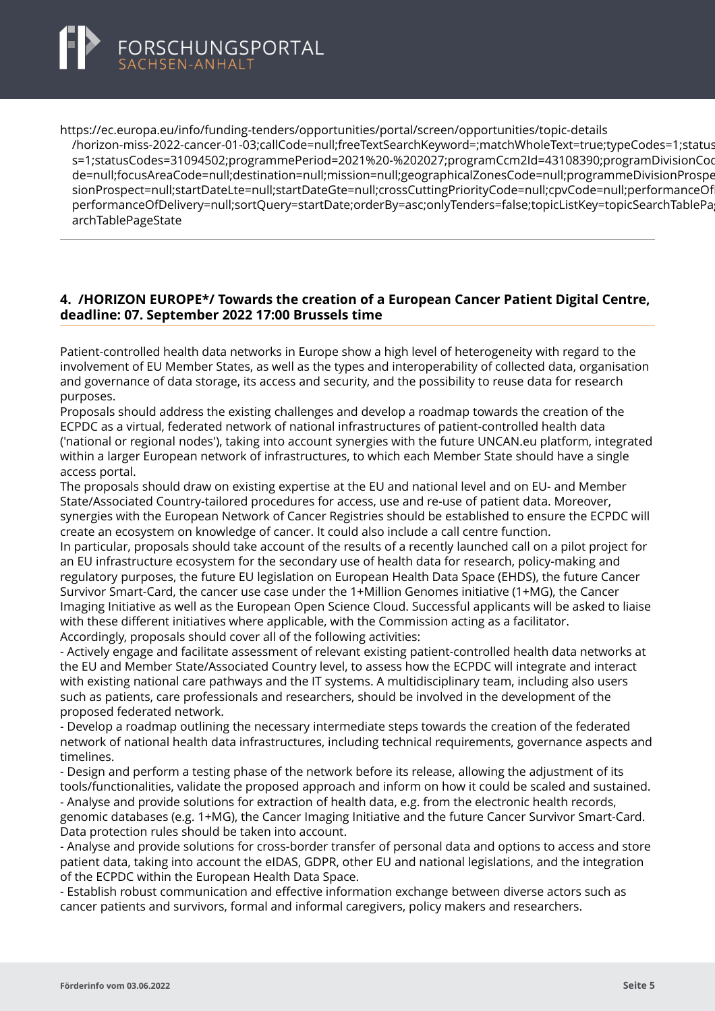<span id="page-6-0"></span>

https://ec.europa.eu/info/funding-tenders/opportunities/portal/screen/opportunities/topic-details [/horizon-miss-2022-cancer-01-03;callCode=null;freeTextSearchKeyword=;matchWholeText=true;typeCode](https://ec.europa.eu/info/funding-tenders/opportunities/portal/screen/opportunities/topic-details/horizon-miss-2022-cancer-01-03;callCode=null;freeTextSearchKeyword=;matchWholeText=true;typeCodes=1;statusCodes=31094502;programmePeriod=2021%20-%202027;programCcm2Id=43108390;programDivisionCode=null;focusAreaCode=null;destination=null;mission=null;geographicalZonesCode=null;programmeDivisionProspect=null;startDateLte=null;startDateGte=null;crossCuttingPriorityCode=null;cpvCode=null;performanceOfDelivery=null;sortQuery=startDate;orderBy=asc;onlyTenders=false;topicListKey=topicSearchTablePageState)s=1;status s=1;statusCodes=31094502;programmePeriod=2021%20-%202027;programCcm2Id=43108390;programDivisionCoo de=null:focusAreaCode=null:destination=null:mission=null:geographicalZonesCode=null:programmeDivisionProspe sionProspect=null;startDateLte=null;startDateGte=null;crossCuttingPriorityCode=null;cpvCode=null;performanceOf performanceOfDelivery=null;sortQuery=startDate;orderBy=asc;onlyTenders=false;topicListKey=topicSearchTablePa archTablePageState

#### **4. /HORIZON EUROPE\*/ Towards the creation of a European Cancer Patient Digital Centre, deadline: 07. September 2022 17:00 Brussels time**

Patient-controlled health data networks in Europe show a high level of heterogeneity with regard to the involvement of EU Member States, as well as the types and interoperability of collected data, organisation and governance of data storage, its access and security, and the possibility to reuse data for research purposes.

Proposals should address the existing challenges and develop a roadmap towards the creation of the ECPDC as a virtual, federated network of national infrastructures of patient-controlled health data ('national or regional nodes'), taking into account synergies with the future UNCAN.eu platform, integrated within a larger European network of infrastructures, to which each Member State should have a single access portal.

The proposals should draw on existing expertise at the EU and national level and on EU- and Member State/Associated Country-tailored procedures for access, use and re-use of patient data. Moreover, synergies with the European Network of Cancer Registries should be established to ensure the ECPDC will create an ecosystem on knowledge of cancer. It could also include a call centre function.

In particular, proposals should take account of the results of a recently launched call on a pilot project for an EU infrastructure ecosystem for the secondary use of health data for research, policy-making and regulatory purposes, the future EU legislation on European Health Data Space (EHDS), the future Cancer Survivor Smart-Card, the cancer use case under the 1+Million Genomes initiative (1+MG), the Cancer Imaging Initiative as well as the European Open Science Cloud. Successful applicants will be asked to liaise with these different initiatives where applicable, with the Commission acting as a facilitator. Accordingly, proposals should cover all of the following activities:

- Actively engage and facilitate assessment of relevant existing patient-controlled health data networks at the EU and Member State/Associated Country level, to assess how the ECPDC will integrate and interact with existing national care pathways and the IT systems. A multidisciplinary team, including also users such as patients, care professionals and researchers, should be involved in the development of the proposed federated network.

- Develop a roadmap outlining the necessary intermediate steps towards the creation of the federated network of national health data infrastructures, including technical requirements, governance aspects and timelines.

- Design and perform a testing phase of the network before its release, allowing the adjustment of its tools/functionalities, validate the proposed approach and inform on how it could be scaled and sustained. - Analyse and provide solutions for extraction of health data, e.g. from the electronic health records, genomic databases (e.g. 1+MG), the Cancer Imaging Initiative and the future Cancer Survivor Smart-Card. Data protection rules should be taken into account.

- Analyse and provide solutions for cross-border transfer of personal data and options to access and store patient data, taking into account the eIDAS, GDPR, other EU and national legislations, and the integration of the ECPDC within the European Health Data Space.

- Establish robust communication and effective information exchange between diverse actors such as cancer patients and survivors, formal and informal caregivers, policy makers and researchers.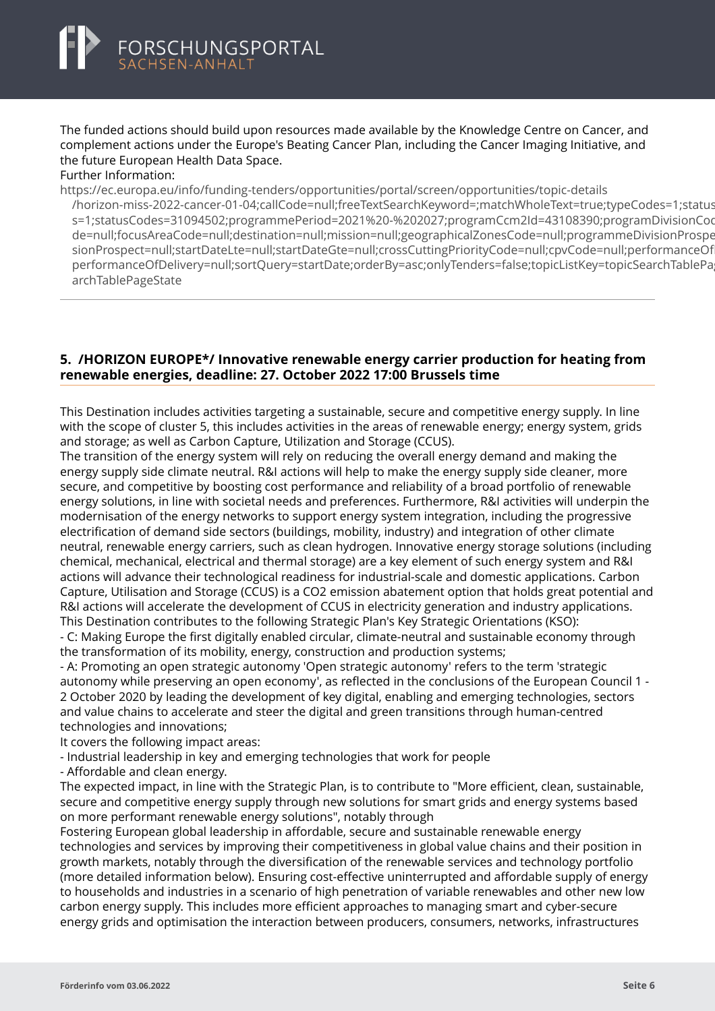<span id="page-7-0"></span>The funded actions should build upon resources made available by the Knowledge Centre on Cancer, and complement actions under the Europe's Beating Cancer Plan, including the Cancer Imaging Initiative, and the future European Health Data Space.

#### Further Information:

https://ec.europa.eu/info/funding-tenders/opportunities/portal/screen/opportunities/topic-details

[/horizon-miss-2022-cancer-01-04;callCode=null;freeTextSearchKeyword=;matchWholeText=true;typeCode](https://ec.europa.eu/info/funding-tenders/opportunities/portal/screen/opportunities/topic-details/horizon-miss-2022-cancer-01-04;callCode=null;freeTextSearchKeyword=;matchWholeText=true;typeCodes=1;statusCodes=31094502;programmePeriod=2021%20-%202027;programCcm2Id=43108390;programDivisionCode=null;focusAreaCode=null;destination=null;mission=null;geographicalZonesCode=null;programmeDivisionProspect=null;startDateLte=null;startDateGte=null;crossCuttingPriorityCode=null;cpvCode=null;performanceOfDelivery=null;sortQuery=startDate;orderBy=asc;onlyTenders=false;topicListKey=topicSearchTablePageState)s=1;statusCodes=31094502;programmePeriod=2021%20-%202027;programCcm2Id=43108390;programDivisionCo s=1;statusCodes=31094502;programmePeriod=2021%20-%202027;programCcm2ld=43108390;programDivisionCoo de=null;focusAreaCode=null;destination=null;mission=null;geographicalZonesCode=null;programmeDivisionProspe sionProspect=null;startDateLte=null;startDateGte=null;crossCuttingPriorityCode=null;cpvCode=null;performanceOf performanceOfDelivery=null;sortQuery=startDate;orderBy=asc;onlyTenders=false;topicListKey=topicSearchTablePa archTablePageState

#### **5. /HORIZON EUROPE\*/ Innovative renewable energy carrier production for heating from renewable energies, deadline: 27. October 2022 17:00 Brussels time**

This Destination includes activities targeting a sustainable, secure and competitive energy supply. In line with the scope of cluster 5, this includes activities in the areas of renewable energy; energy system, grids and storage; as well as Carbon Capture, Utilization and Storage (CCUS).

The transition of the energy system will rely on reducing the overall energy demand and making the energy supply side climate neutral. R&I actions will help to make the energy supply side cleaner, more secure, and competitive by boosting cost performance and reliability of a broad portfolio of renewable energy solutions, in line with societal needs and preferences. Furthermore, R&I activities will underpin the modernisation of the energy networks to support energy system integration, including the progressive electrification of demand side sectors (buildings, mobility, industry) and integration of other climate neutral, renewable energy carriers, such as clean hydrogen. Innovative energy storage solutions (including chemical, mechanical, electrical and thermal storage) are a key element of such energy system and R&I actions will advance their technological readiness for industrial-scale and domestic applications. Carbon Capture, Utilisation and Storage (CCUS) is a CO2 emission abatement option that holds great potential and R&I actions will accelerate the development of CCUS in electricity generation and industry applications. This Destination contributes to the following Strategic Plan's Key Strategic Orientations (KSO):

- C: Making Europe the first digitally enabled circular, climate-neutral and sustainable economy through the transformation of its mobility, energy, construction and production systems;

- A: Promoting an open strategic autonomy 'Open strategic autonomy' refers to the term 'strategic autonomy while preserving an open economy', as reflected in the conclusions of the European Council 1 - 2 October 2020 by leading the development of key digital, enabling and emerging technologies, sectors and value chains to accelerate and steer the digital and green transitions through human-centred technologies and innovations;

It covers the following impact areas:

- Industrial leadership in key and emerging technologies that work for people

- Affordable and clean energy.

The expected impact, in line with the Strategic Plan, is to contribute to "More efficient, clean, sustainable, secure and competitive energy supply through new solutions for smart grids and energy systems based on more performant renewable energy solutions", notably through

Fostering European global leadership in affordable, secure and sustainable renewable energy technologies and services by improving their competitiveness in global value chains and their position in growth markets, notably through the diversification of the renewable services and technology portfolio (more detailed information below). Ensuring cost-effective uninterrupted and affordable supply of energy to households and industries in a scenario of high penetration of variable renewables and other new low carbon energy supply. This includes more efficient approaches to managing smart and cyber-secure energy grids and optimisation the interaction between producers, consumers, networks, infrastructures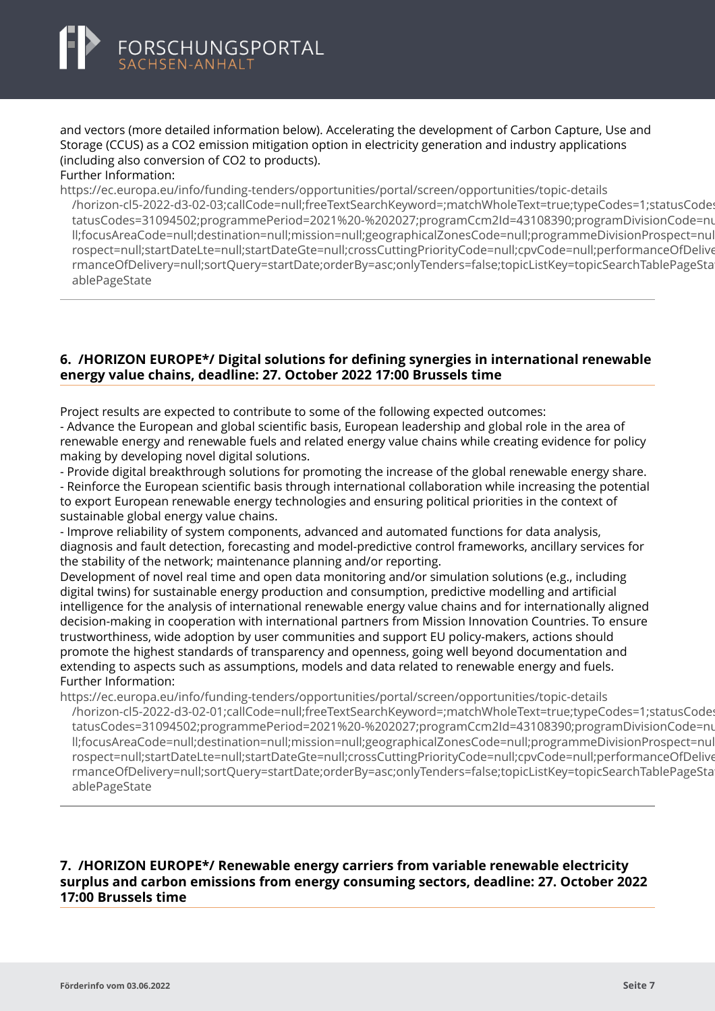<span id="page-8-0"></span>and vectors (more detailed information below). Accelerating the development of Carbon Capture, Use and Storage (CCUS) as a CO2 emission mitigation option in electricity generation and industry applications (including also conversion of CO2 to products).

#### Further Information:

https://ec.europa.eu/info/funding-tenders/opportunities/portal/screen/opportunities/topic-details

[/horizon-cl5-2022-d3-02-03;callCode=null;freeTextSearchKeyword=;matchWholeText=true;typeCodes=1;s](https://ec.europa.eu/info/funding-tenders/opportunities/portal/screen/opportunities/topic-details/horizon-cl5-2022-d3-02-03;callCode=null;freeTextSearchKeyword=;matchWholeText=true;typeCodes=1;statusCodes=31094502;programmePeriod=2021%20-%202027;programCcm2Id=43108390;programDivisionCode=null;focusAreaCode=null;destination=null;mission=null;geographicalZonesCode=null;programmeDivisionProspect=null;startDateLte=null;startDateGte=null;crossCuttingPriorityCode=null;cpvCode=null;performanceOfDelivery=null;sortQuery=startDate;orderBy=asc;onlyTenders=false;topicListKey=topicSearchTablePageState)tatusCodes=31094502;programmePeriod=2021%20-%202027;programCcm2Id=43108390;programDivisionCode=nu tatusCodes=31094502;programmePeriod=2021%20-%202027;programCcm2Id=43108390;programDivisionCode=nu ll;focusAreaCode=null;destination=null;mission=null;geographicalZonesCode=null;programmeDivisionProspect=nul rospect=null;startDateLte=null;startDateGte=null;crossCuttingPriorityCode=null;cpvCode=null;performanceOfDelive rmanceOfDelivery=null;sortQuery=startDate;orderBy=asc;onlyTenders=false;topicListKey=topicSearchTablePageState ablePageState

#### **6. /HORIZON EUROPE\*/ Digital solutions for defining synergies in international renewable energy value chains, deadline: 27. October 2022 17:00 Brussels time**

Project results are expected to contribute to some of the following expected outcomes:

- Advance the European and global scientific basis, European leadership and global role in the area of renewable energy and renewable fuels and related energy value chains while creating evidence for policy making by developing novel digital solutions.

- Provide digital breakthrough solutions for promoting the increase of the global renewable energy share. - Reinforce the European scientific basis through international collaboration while increasing the potential to export European renewable energy technologies and ensuring political priorities in the context of

sustainable global energy value chains.

- Improve reliability of system components, advanced and automated functions for data analysis, diagnosis and fault detection, forecasting and model-predictive control frameworks, ancillary services for the stability of the network; maintenance planning and/or reporting.

Development of novel real time and open data monitoring and/or simulation solutions (e.g., including digital twins) for sustainable energy production and consumption, predictive modelling and artificial intelligence for the analysis of international renewable energy value chains and for internationally aligned decision-making in cooperation with international partners from Mission Innovation Countries. To ensure trustworthiness, wide adoption by user communities and support EU policy-makers, actions should promote the highest standards of transparency and openness, going well beyond documentation and extending to aspects such as assumptions, models and data related to renewable energy and fuels. Further Information:

https://ec.europa.eu/info/funding-tenders/opportunities/portal/screen/opportunities/topic-details

[/horizon-cl5-2022-d3-02-01;callCode=null;freeTextSearchKeyword=;matchWholeText=true;typeCodes=1;s](https://ec.europa.eu/info/funding-tenders/opportunities/portal/screen/opportunities/topic-details/horizon-cl5-2022-d3-02-01;callCode=null;freeTextSearchKeyword=;matchWholeText=true;typeCodes=1;statusCodes=31094502;programmePeriod=2021%20-%202027;programCcm2Id=43108390;programDivisionCode=null;focusAreaCode=null;destination=null;mission=null;geographicalZonesCode=null;programmeDivisionProspect=null;startDateLte=null;startDateGte=null;crossCuttingPriorityCode=null;cpvCode=null;performanceOfDelivery=null;sortQuery=startDate;orderBy=asc;onlyTenders=false;topicListKey=topicSearchTablePageState)tatusCodes tatusCodes=31094502;programmePeriod=2021%20-%202027;programCcm2Id=43108390;programDivisionCode=nu ll;focusAreaCode=null;destination=null;mission=null;geographicalZonesCode=null;programmeDivisionProspect=nul rospect=null;startDateLte=null;startDateGte=null;crossCuttingPriorityCode=null;cpyCode=null;performanceOfDelive rmanceOfDelivery=null;sortQuery=startDate;orderBy=asc;onlyTenders=false;topicListKey=topicSearchTablePageState ablePageState

#### **7. /HORIZON EUROPE\*/ Renewable energy carriers from variable renewable electricity surplus and carbon emissions from energy consuming sectors, deadline: 27. October 2022 17:00 Brussels time**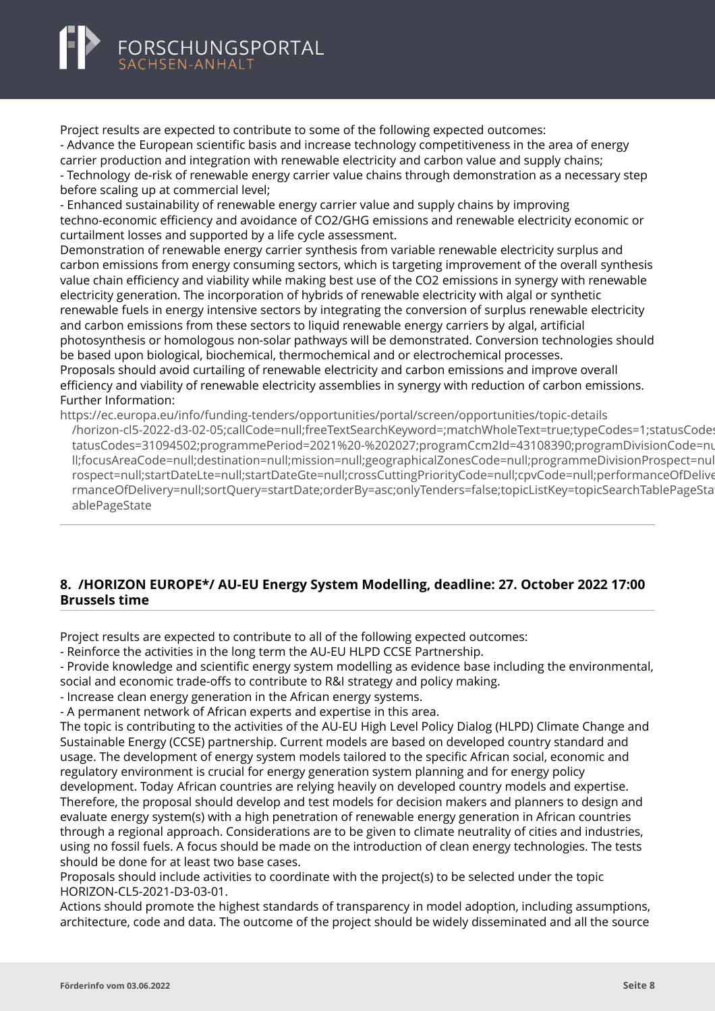<span id="page-9-0"></span>Project results are expected to contribute to some of the following expected outcomes: - Advance the European scientific basis and increase technology competitiveness in the area of energy carrier production and integration with renewable electricity and carbon value and supply chains; - Technology de-risk of renewable energy carrier value chains through demonstration as a necessary step before scaling up at commercial level;

- Enhanced sustainability of renewable energy carrier value and supply chains by improving techno-economic efficiency and avoidance of CO2/GHG emissions and renewable electricity economic or curtailment losses and supported by a life cycle assessment.

Demonstration of renewable energy carrier synthesis from variable renewable electricity surplus and carbon emissions from energy consuming sectors, which is targeting improvement of the overall synthesis value chain efficiency and viability while making best use of the CO2 emissions in synergy with renewable electricity generation. The incorporation of hybrids of renewable electricity with algal or synthetic renewable fuels in energy intensive sectors by integrating the conversion of surplus renewable electricity and carbon emissions from these sectors to liquid renewable energy carriers by algal, artificial photosynthesis or homologous non-solar pathways will be demonstrated. Conversion technologies should be based upon biological, biochemical, thermochemical and or electrochemical processes. Proposals should avoid curtailing of renewable electricity and carbon emissions and improve overall efficiency and viability of renewable electricity assemblies in synergy with reduction of carbon emissions. Further Information:

https://ec.europa.eu/info/funding-tenders/opportunities/portal/screen/opportunities/topic-details [/horizon-cl5-2022-d3-02-05;callCode=null;freeTextSearchKeyword=;matchWholeText=true;typeCodes=1;s](https://ec.europa.eu/info/funding-tenders/opportunities/portal/screen/opportunities/topic-details/horizon-cl5-2022-d3-02-05;callCode=null;freeTextSearchKeyword=;matchWholeText=true;typeCodes=1;statusCodes=31094502;programmePeriod=2021%20-%202027;programCcm2Id=43108390;programDivisionCode=null;focusAreaCode=null;destination=null;mission=null;geographicalZonesCode=null;programmeDivisionProspect=null;startDateLte=null;startDateGte=null;crossCuttingPriorityCode=null;cpvCode=null;performanceOfDelivery=null;sortQuery=startDate;orderBy=asc;onlyTenders=false;topicListKey=topicSearchTablePageState)tatusCodes=31094502;programmePeriod=2021%20-%202027;programCcm2Id=43108390;programDivisionCode=nu tatusCodes=31094502;programmePeriod=2021%20-%202027;programCcm2ld=43108390;programDivisionCode=nu ll;focusAreaCode=null;destination=null;mission=null;geographicalZonesCode=null;programmeDivisionProspect=nul rospect=null;startDateLte=null;startDateGte=null;crossCuttingPriorityCode=null;cpvCode=null;performanceOfDelive rmanceOfDelivery=null;sortQuery=startDate;orderBy=asc;onlyTenders=false;topicListKey=topicSearchTablePageState ablePageState

#### **8. /HORIZON EUROPE\*/ AU-EU Energy System Modelling, deadline: 27. October 2022 17:00 Brussels time**

Project results are expected to contribute to all of the following expected outcomes:

- Reinforce the activities in the long term the AU-EU HLPD CCSE Partnership.

- Provide knowledge and scientific energy system modelling as evidence base including the environmental, social and economic trade-offs to contribute to R&I strategy and policy making.

- Increase clean energy generation in the African energy systems.

- A permanent network of African experts and expertise in this area.

The topic is contributing to the activities of the AU-EU High Level Policy Dialog (HLPD) Climate Change and Sustainable Energy (CCSE) partnership. Current models are based on developed country standard and usage. The development of energy system models tailored to the specific African social, economic and regulatory environment is crucial for energy generation system planning and for energy policy development. Today African countries are relying heavily on developed country models and expertise. Therefore, the proposal should develop and test models for decision makers and planners to design and evaluate energy system(s) with a high penetration of renewable energy generation in African countries through a regional approach. Considerations are to be given to climate neutrality of cities and industries, using no fossil fuels. A focus should be made on the introduction of clean energy technologies. The tests should be done for at least two base cases.

Proposals should include activities to coordinate with the project(s) to be selected under the topic HORIZON-CL5-2021-D3-03-01.

Actions should promote the highest standards of transparency in model adoption, including assumptions, architecture, code and data. The outcome of the project should be widely disseminated and all the source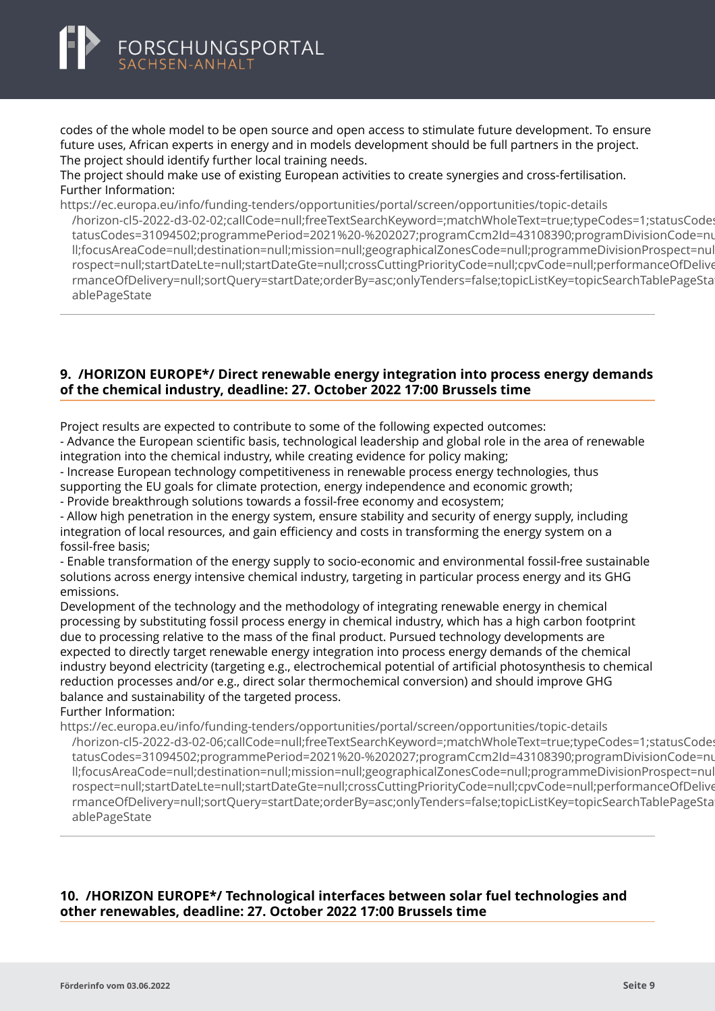<span id="page-10-0"></span>codes of the whole model to be open source and open access to stimulate future development. To ensure future uses, African experts in energy and in models development should be full partners in the project. The project should identify further local training needs.

#### The project should make use of existing European activities to create synergies and cross-fertilisation. Further Information:

https://ec.europa.eu/info/funding-tenders/opportunities/portal/screen/opportunities/topic-details [/horizon-cl5-2022-d3-02-02;callCode=null;freeTextSearchKeyword=;matchWholeText=true;typeCodes=1;s](https://ec.europa.eu/info/funding-tenders/opportunities/portal/screen/opportunities/topic-details/horizon-cl5-2022-d3-02-02;callCode=null;freeTextSearchKeyword=;matchWholeText=true;typeCodes=1;statusCodes=31094502;programmePeriod=2021%20-%202027;programCcm2Id=43108390;programDivisionCode=null;focusAreaCode=null;destination=null;mission=null;geographicalZonesCode=null;programmeDivisionProspect=null;startDateLte=null;startDateGte=null;crossCuttingPriorityCode=null;cpvCode=null;performanceOfDelivery=null;sortQuery=startDate;orderBy=asc;onlyTenders=false;topicListKey=topicSearchTablePageState)tatusCodes=31094502;programmePeriod=2021%20-%202027;programCcm2Id=43108390;programDivisionCode=nu tatusCodes=31094502;programmePeriod=2021%20-%202027;programCcm2Id=43108390;programDivisionCode=nu ll;focusAreaCode=null;destination=null;mission=null;geographicalZonesCode=null;programmeDivisionProspect=nul rospect=null;startDateLte=null;startDateGte=null;crossCuttingPriorityCode=null;cpvCode=null;performanceOfDelive rmanceOfDelivery=null;sortQuery=startDate;orderBy=asc;onlyTenders=false;topicListKey=topicSearchTablePageState ablePageState

#### **9. /HORIZON EUROPE\*/ Direct renewable energy integration into process energy demands of the chemical industry, deadline: 27. October 2022 17:00 Brussels time**

Project results are expected to contribute to some of the following expected outcomes:

- Advance the European scientific basis, technological leadership and global role in the area of renewable integration into the chemical industry, while creating evidence for policy making;

- Increase European technology competitiveness in renewable process energy technologies, thus supporting the EU goals for climate protection, energy independence and economic growth;

- Provide breakthrough solutions towards a fossil-free economy and ecosystem;

- Allow high penetration in the energy system, ensure stability and security of energy supply, including integration of local resources, and gain efficiency and costs in transforming the energy system on a fossil-free basis;

- Enable transformation of the energy supply to socio-economic and environmental fossil-free sustainable solutions across energy intensive chemical industry, targeting in particular process energy and its GHG emissions.

Development of the technology and the methodology of integrating renewable energy in chemical processing by substituting fossil process energy in chemical industry, which has a high carbon footprint due to processing relative to the mass of the final product. Pursued technology developments are expected to directly target renewable energy integration into process energy demands of the chemical industry beyond electricity (targeting e.g., electrochemical potential of artificial photosynthesis to chemical reduction processes and/or e.g., direct solar thermochemical conversion) and should improve GHG balance and sustainability of the targeted process.

Further Information:

https://ec.europa.eu/info/funding-tenders/opportunities/portal/screen/opportunities/topic-details

[/horizon-cl5-2022-d3-02-06;callCode=null;freeTextSearchKeyword=;matchWholeText=true;typeCodes=1;s](https://ec.europa.eu/info/funding-tenders/opportunities/portal/screen/opportunities/topic-details/horizon-cl5-2022-d3-02-06;callCode=null;freeTextSearchKeyword=;matchWholeText=true;typeCodes=1;statusCodes=31094502;programmePeriod=2021%20-%202027;programCcm2Id=43108390;programDivisionCode=null;focusAreaCode=null;destination=null;mission=null;geographicalZonesCode=null;programmeDivisionProspect=null;startDateLte=null;startDateGte=null;crossCuttingPriorityCode=null;cpvCode=null;performanceOfDelivery=null;sortQuery=startDate;orderBy=asc;onlyTenders=false;topicListKey=topicSearchTablePageState)tatusCodes tatusCodes=31094502:programmePeriod=2021%20-%202027:programCcm2ld=43108390:programDivisionCode=nu ll;focusAreaCode=null;destination=null;mission=null;geographicalZonesCode=null;programmeDivisionProspect=nul rospect=null;startDateLte=null;startDateGte=null;crossCuttingPriorityCode=null;cpvCode=null;performanceOfDelive rmanceOfDelivery=null;sortQuery=startDate;orderBy=asc;onlyTenders=false;topicListKey=topicSearchTablePageState ablePageState

#### **10. /HORIZON EUROPE\*/ Technological interfaces between solar fuel technologies and other renewables, deadline: 27. October 2022 17:00 Brussels time**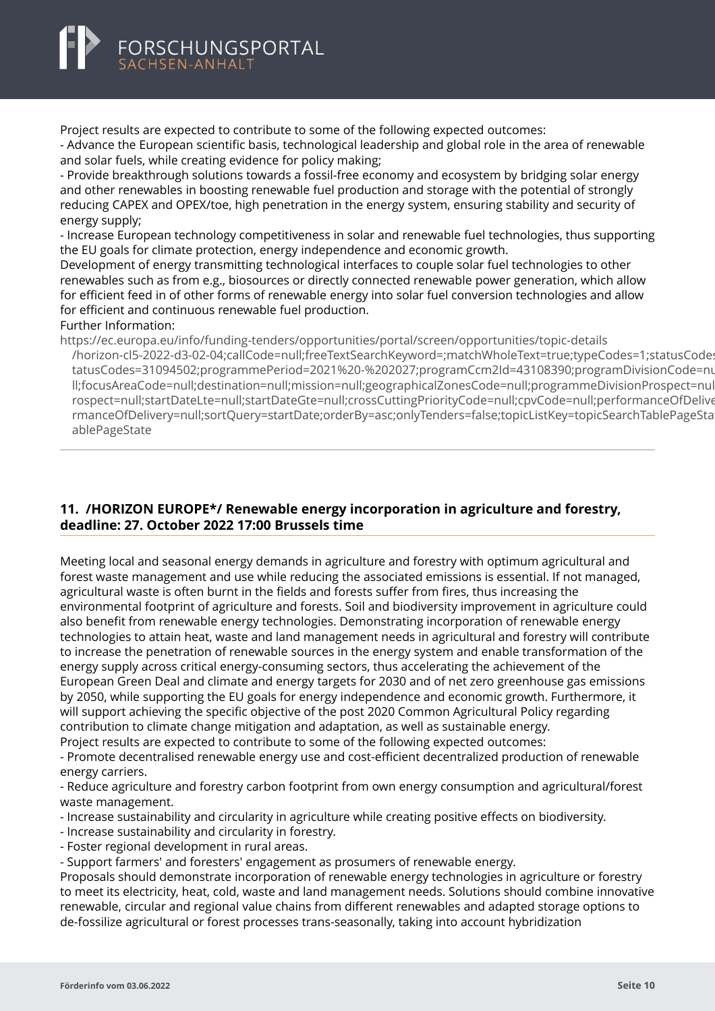<span id="page-11-0"></span>Project results are expected to contribute to some of the following expected outcomes:

- Advance the European scientific basis, technological leadership and global role in the area of renewable and solar fuels, while creating evidence for policy making;

- Provide breakthrough solutions towards a fossil-free economy and ecosystem by bridging solar energy and other renewables in boosting renewable fuel production and storage with the potential of strongly reducing CAPEX and OPEX/toe, high penetration in the energy system, ensuring stability and security of energy supply;

- Increase European technology competitiveness in solar and renewable fuel technologies, thus supporting the EU goals for climate protection, energy independence and economic growth.

Development of energy transmitting technological interfaces to couple solar fuel technologies to other renewables such as from e.g., biosources or directly connected renewable power generation, which allow for efficient feed in of other forms of renewable energy into solar fuel conversion technologies and allow for efficient and continuous renewable fuel production.

Further Information:

https://ec.europa.eu/info/funding-tenders/opportunities/portal/screen/opportunities/topic-details [/horizon-cl5-2022-d3-02-04;callCode=null;freeTextSearchKeyword=;matchWholeText=true;typeCodes=1;s](https://ec.europa.eu/info/funding-tenders/opportunities/portal/screen/opportunities/topic-details/horizon-cl5-2022-d3-02-04;callCode=null;freeTextSearchKeyword=;matchWholeText=true;typeCodes=1;statusCodes=31094502;programmePeriod=2021%20-%202027;programCcm2Id=43108390;programDivisionCode=null;focusAreaCode=null;destination=null;mission=null;geographicalZonesCode=null;programmeDivisionProspect=null;startDateLte=null;startDateGte=null;crossCuttingPriorityCode=null;cpvCode=null;performanceOfDelivery=null;sortQuery=startDate;orderBy=asc;onlyTenders=false;topicListKey=topicSearchTablePageState)tatusCodes tatusCodes=31094502;programmePeriod=2021%20-%202027;programCcm2Id=43108390;programDivisionCode=nu ll;focusAreaCode=null;destination=null;mission=null;geographicalZonesCode=null;programmeDivisionProspect=nul rospect=null;startDateLte=null;startDateGte=null;crossCuttingPriorityCode=null;cpvCode=null;performanceOfDelive rmanceOfDelivery=null;sortQuery=startDate;orderBy=asc;onlyTenders=false;topicListKey=topicSearchTablePageState ablePageState

#### **11. /HORIZON EUROPE\*/ Renewable energy incorporation in agriculture and forestry, deadline: 27. October 2022 17:00 Brussels time**

Meeting local and seasonal energy demands in agriculture and forestry with optimum agricultural and forest waste management and use while reducing the associated emissions is essential. If not managed, agricultural waste is often burnt in the fields and forests suffer from fires, thus increasing the environmental footprint of agriculture and forests. Soil and biodiversity improvement in agriculture could also benefit from renewable energy technologies. Demonstrating incorporation of renewable energy technologies to attain heat, waste and land management needs in agricultural and forestry will contribute to increase the penetration of renewable sources in the energy system and enable transformation of the energy supply across critical energy-consuming sectors, thus accelerating the achievement of the European Green Deal and climate and energy targets for 2030 and of net zero greenhouse gas emissions by 2050, while supporting the EU goals for energy independence and economic growth. Furthermore, it will support achieving the specific objective of the post 2020 Common Agricultural Policy regarding contribution to climate change mitigation and adaptation, as well as sustainable energy. Project results are expected to contribute to some of the following expected outcomes:

- Promote decentralised renewable energy use and cost-efficient decentralized production of renewable energy carriers.

- Reduce agriculture and forestry carbon footprint from own energy consumption and agricultural/forest waste management.

- Increase sustainability and circularity in agriculture while creating positive effects on biodiversity.
- Increase sustainability and circularity in forestry.
- Foster regional development in rural areas.

- Support farmers' and foresters' engagement as prosumers of renewable energy.

Proposals should demonstrate incorporation of renewable energy technologies in agriculture or forestry to meet its electricity, heat, cold, waste and land management needs. Solutions should combine innovative renewable, circular and regional value chains from different renewables and adapted storage options to de-fossilize agricultural or forest processes trans-seasonally, taking into account hybridization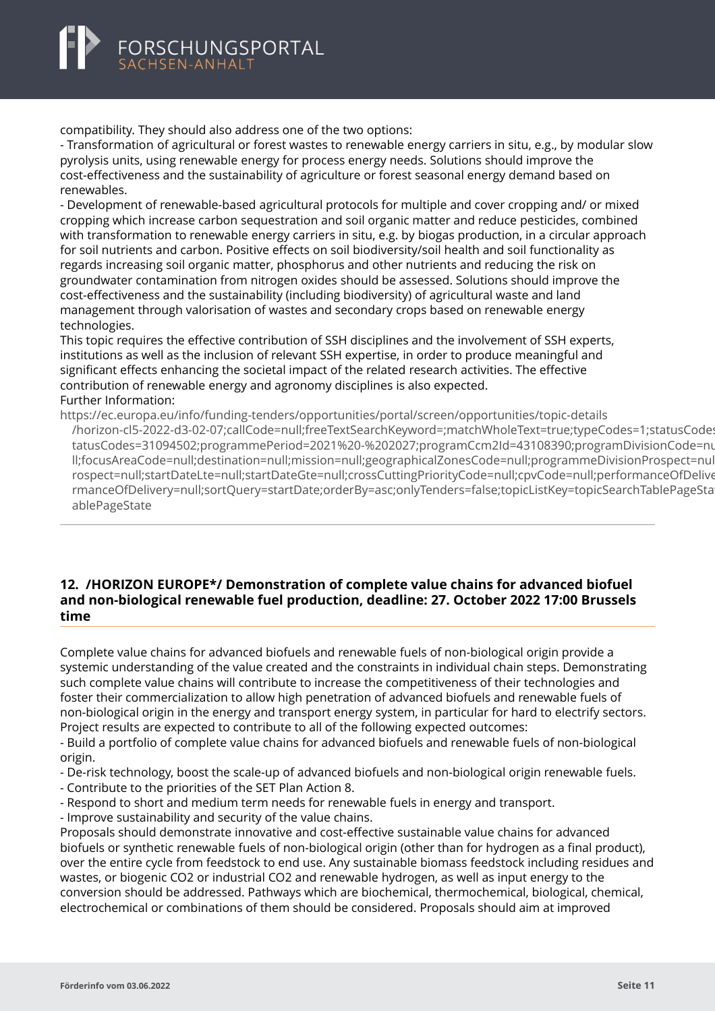<span id="page-12-0"></span>

compatibility. They should also address one of the two options:

- Transformation of agricultural or forest wastes to renewable energy carriers in situ, e.g., by modular slow pyrolysis units, using renewable energy for process energy needs. Solutions should improve the cost-effectiveness and the sustainability of agriculture or forest seasonal energy demand based on renewables.

- Development of renewable-based agricultural protocols for multiple and cover cropping and/ or mixed cropping which increase carbon sequestration and soil organic matter and reduce pesticides, combined with transformation to renewable energy carriers in situ, e.g. by biogas production, in a circular approach for soil nutrients and carbon. Positive effects on soil biodiversity/soil health and soil functionality as regards increasing soil organic matter, phosphorus and other nutrients and reducing the risk on groundwater contamination from nitrogen oxides should be assessed. Solutions should improve the cost-effectiveness and the sustainability (including biodiversity) of agricultural waste and land management through valorisation of wastes and secondary crops based on renewable energy technologies.

This topic requires the effective contribution of SSH disciplines and the involvement of SSH experts, institutions as well as the inclusion of relevant SSH expertise, in order to produce meaningful and significant effects enhancing the societal impact of the related research activities. The effective contribution of renewable energy and agronomy disciplines is also expected. Further Information:

https://ec.europa.eu/info/funding-tenders/opportunities/portal/screen/opportunities/topic-details [/horizon-cl5-2022-d3-02-07;callCode=null;freeTextSearchKeyword=;matchWholeText=true;typeCodes=1;s](https://ec.europa.eu/info/funding-tenders/opportunities/portal/screen/opportunities/topic-details/horizon-cl5-2022-d3-02-07;callCode=null;freeTextSearchKeyword=;matchWholeText=true;typeCodes=1;statusCodes=31094502;programmePeriod=2021%20-%202027;programCcm2Id=43108390;programDivisionCode=null;focusAreaCode=null;destination=null;mission=null;geographicalZonesCode=null;programmeDivisionProspect=null;startDateLte=null;startDateGte=null;crossCuttingPriorityCode=null;cpvCode=null;performanceOfDelivery=null;sortQuery=startDate;orderBy=asc;onlyTenders=false;topicListKey=topicSearchTablePageState)tatusCodes=31094502;programmePeriod=2021%20-%202027;programCcm2Id=43108390;programDivisionCode=nu tatusCodes=31094502;programmePeriod=2021%20-%202027;programCcm2ld=43108390;programDivisionCode=nu ll;focusAreaCode=null;destination=null;mission=null;geographicalZonesCode=null;programmeDivisionProspect=nul rospect=null;startDateLte=null;startDateGte=null;crossCuttingPriorityCode=null;cpvCode=null;performanceOfDelive rmanceOfDelivery=null;sortQuery=startDate;orderBy=asc;onlyTenders=false;topicListKey=topicSearchTablePageState ablePageState

#### **12. /HORIZON EUROPE\*/ Demonstration of complete value chains for advanced biofuel and non-biological renewable fuel production, deadline: 27. October 2022 17:00 Brussels time**

Complete value chains for advanced biofuels and renewable fuels of non-biological origin provide a systemic understanding of the value created and the constraints in individual chain steps. Demonstrating such complete value chains will contribute to increase the competitiveness of their technologies and foster their commercialization to allow high penetration of advanced biofuels and renewable fuels of non-biological origin in the energy and transport energy system, in particular for hard to electrify sectors. Project results are expected to contribute to all of the following expected outcomes:

- Build a portfolio of complete value chains for advanced biofuels and renewable fuels of non-biological origin.

- De-risk technology, boost the scale-up of advanced biofuels and non-biological origin renewable fuels.

- Contribute to the priorities of the SET Plan Action 8.

- Respond to short and medium term needs for renewable fuels in energy and transport.

- Improve sustainability and security of the value chains.

Proposals should demonstrate innovative and cost-effective sustainable value chains for advanced biofuels or synthetic renewable fuels of non-biological origin (other than for hydrogen as a final product), over the entire cycle from feedstock to end use. Any sustainable biomass feedstock including residues and wastes, or biogenic CO2 or industrial CO2 and renewable hydrogen, as well as input energy to the conversion should be addressed. Pathways which are biochemical, thermochemical, biological, chemical, electrochemical or combinations of them should be considered. Proposals should aim at improved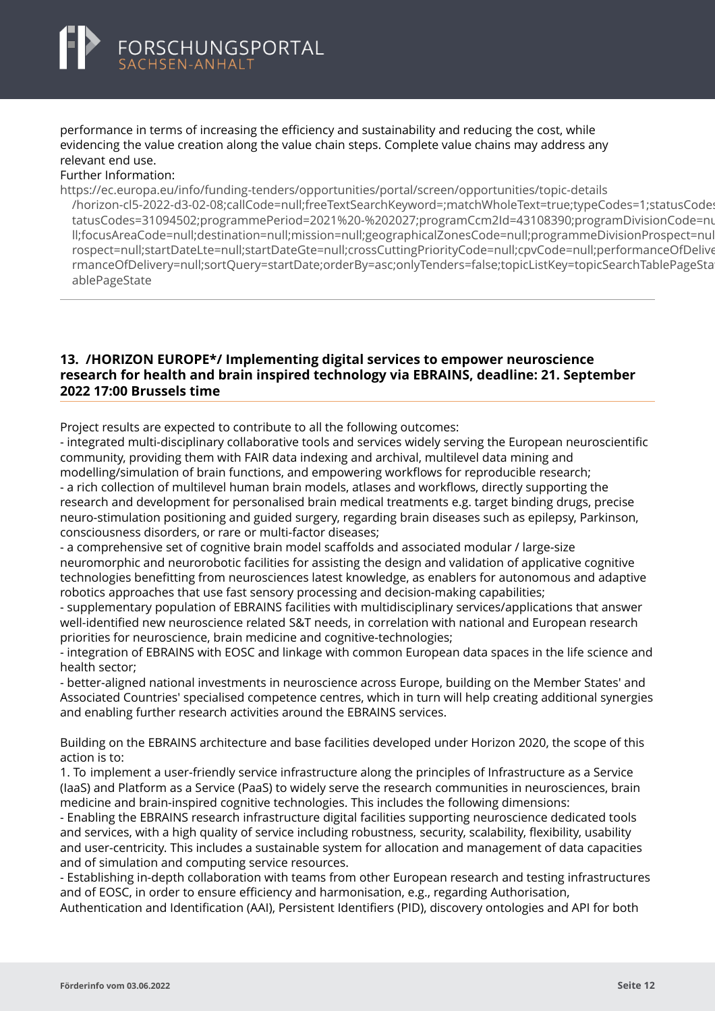<span id="page-13-0"></span>performance in terms of increasing the efficiency and sustainability and reducing the cost, while evidencing the value creation along the value chain steps. Complete value chains may address any relevant end use.

#### Further Information:

https://ec.europa.eu/info/funding-tenders/opportunities/portal/screen/opportunities/topic-details

[/horizon-cl5-2022-d3-02-08;callCode=null;freeTextSearchKeyword=;matchWholeText=true;typeCodes=1;s](https://ec.europa.eu/info/funding-tenders/opportunities/portal/screen/opportunities/topic-details/horizon-cl5-2022-d3-02-08;callCode=null;freeTextSearchKeyword=;matchWholeText=true;typeCodes=1;statusCodes=31094502;programmePeriod=2021%20-%202027;programCcm2Id=43108390;programDivisionCode=null;focusAreaCode=null;destination=null;mission=null;geographicalZonesCode=null;programmeDivisionProspect=null;startDateLte=null;startDateGte=null;crossCuttingPriorityCode=null;cpvCode=null;performanceOfDelivery=null;sortQuery=startDate;orderBy=asc;onlyTenders=false;topicListKey=topicSearchTablePageState)tatusCodes=31094502;programmePeriod=2021%20-%202027;programCcm2Id=43108390;programDivisionCode=nu tatusCodes=31094502;programmePeriod=2021%20-%202027;programCcm2ld=43108390;programDivisionCode=nu ll;focusAreaCode=null;destination=null;mission=null;geographicalZonesCode=null;programmeDivisionProspect=nul rospect=null;startDateLte=null;startDateGte=null;crossCuttingPriorityCode=null;cpvCode=null;performanceOfDelive rmanceOfDelivery=null;sortQuery=startDate;orderBy=asc;onlyTenders=false;topicListKey=topicSearchTablePageState ablePageState

#### **13. /HORIZON EUROPE\*/ Implementing digital services to empower neuroscience research for health and brain inspired technology via EBRAINS, deadline: 21. September 2022 17:00 Brussels time**

Project results are expected to contribute to all the following outcomes:

- integrated multi-disciplinary collaborative tools and services widely serving the European neuroscientific community, providing them with FAIR data indexing and archival, multilevel data mining and modelling/simulation of brain functions, and empowering workflows for reproducible research; - a rich collection of multilevel human brain models, atlases and workflows, directly supporting the research and development for personalised brain medical treatments e.g. target binding drugs, precise neuro-stimulation positioning and guided surgery, regarding brain diseases such as epilepsy, Parkinson, consciousness disorders, or rare or multi-factor diseases;

- a comprehensive set of cognitive brain model scaffolds and associated modular / large-size neuromorphic and neurorobotic facilities for assisting the design and validation of applicative cognitive technologies benefitting from neurosciences latest knowledge, as enablers for autonomous and adaptive robotics approaches that use fast sensory processing and decision-making capabilities;

- supplementary population of EBRAINS facilities with multidisciplinary services/applications that answer well-identified new neuroscience related S&T needs, in correlation with national and European research priorities for neuroscience, brain medicine and cognitive-technologies;

- integration of EBRAINS with EOSC and linkage with common European data spaces in the life science and health sector;

- better-aligned national investments in neuroscience across Europe, building on the Member States' and Associated Countries' specialised competence centres, which in turn will help creating additional synergies and enabling further research activities around the EBRAINS services.

Building on the EBRAINS architecture and base facilities developed under Horizon 2020, the scope of this action is to:

1. To implement a user-friendly service infrastructure along the principles of Infrastructure as a Service (IaaS) and Platform as a Service (PaaS) to widely serve the research communities in neurosciences, brain medicine and brain-inspired cognitive technologies. This includes the following dimensions:

- Enabling the EBRAINS research infrastructure digital facilities supporting neuroscience dedicated tools and services, with a high quality of service including robustness, security, scalability, flexibility, usability and user-centricity. This includes a sustainable system for allocation and management of data capacities and of simulation and computing service resources.

- Establishing in-depth collaboration with teams from other European research and testing infrastructures and of EOSC, in order to ensure efficiency and harmonisation, e.g., regarding Authorisation, Authentication and Identification (AAI), Persistent Identifiers (PID), discovery ontologies and API for both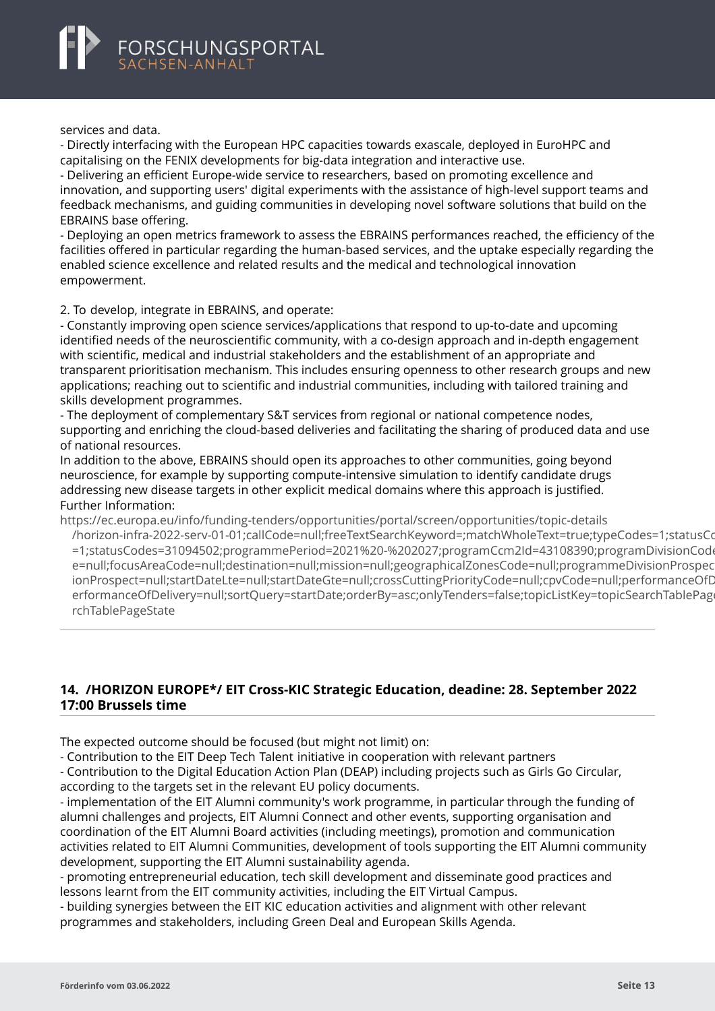<span id="page-14-0"></span>services and data.

- Directly interfacing with the European HPC capacities towards exascale, deployed in EuroHPC and capitalising on the FENIX developments for big-data integration and interactive use.

- Delivering an efficient Europe-wide service to researchers, based on promoting excellence and innovation, and supporting users' digital experiments with the assistance of high-level support teams and feedback mechanisms, and guiding communities in developing novel software solutions that build on the EBRAINS base offering.

- Deploying an open metrics framework to assess the EBRAINS performances reached, the efficiency of the facilities offered in particular regarding the human-based services, and the uptake especially regarding the enabled science excellence and related results and the medical and technological innovation empowerment.

2. To develop, integrate in EBRAINS, and operate:

- Constantly improving open science services/applications that respond to up-to-date and upcoming identified needs of the neuroscientific community, with a co-design approach and in-depth engagement with scientific, medical and industrial stakeholders and the establishment of an appropriate and transparent prioritisation mechanism. This includes ensuring openness to other research groups and new applications; reaching out to scientific and industrial communities, including with tailored training and skills development programmes.

- The deployment of complementary S&T services from regional or national competence nodes, supporting and enriching the cloud-based deliveries and facilitating the sharing of produced data and use of national resources.

In addition to the above, EBRAINS should open its approaches to other communities, going beyond neuroscience, for example by supporting compute-intensive simulation to identify candidate drugs addressing new disease targets in other explicit medical domains where this approach is justified. Further Information:

https://ec.europa.eu/info/funding-tenders/opportunities/portal/screen/opportunities/topic-details

[/horizon-infra-2022-serv-01-01;callCode=null;freeTextSearchKeyword=;matchWholeText=true;typeCodes=](https://ec.europa.eu/info/funding-tenders/opportunities/portal/screen/opportunities/topic-details/horizon-infra-2022-serv-01-01;callCode=null;freeTextSearchKeyword=;matchWholeText=true;typeCodes=1;statusCodes=31094502;programmePeriod=2021%20-%202027;programCcm2Id=43108390;programDivisionCode=null;focusAreaCode=null;destination=null;mission=null;geographicalZonesCode=null;programmeDivisionProspect=null;startDateLte=null;startDateGte=null;crossCuttingPriorityCode=null;cpvCode=null;performanceOfDelivery=null;sortQuery=startDate;orderBy=asc;onlyTenders=false;topicListKey=topicSearchTablePageState)1;statusCodes=31094502;programmePeriod=2021%20-%202027;programCcm2Id=43108390;programDivisionCod =1;statusCodes=31094502;programmePeriod=2021%20-%202027;programCcm2ld=43108390;programDivisionCod e=null;focusAreaCode=null;destination=null;mission=null;geographicalZonesCode=null;programmeDivisionProspec ionProspect=null;startDateLte=null;startDateGte=null;crossCuttingPriorityCode=null;cpvCode=null;performanceOfD erformanceOfDelivery=null;sortQuery=startDate;orderBy=asc;onlyTenders=false;topicListKey=topicSearchTablePage rchTablePageState

#### **14. /HORIZON EUROPE\*/ EIT Cross-KIC Strategic Education, deadine: 28. September 2022 17:00 Brussels time**

The expected outcome should be focused (but might not limit) on:

- Contribution to the EIT Deep Tech Talent initiative in cooperation with relevant partners

- Contribution to the Digital Education Action Plan (DEAP) including projects such as Girls Go Circular, according to the targets set in the relevant EU policy documents.

- implementation of the EIT Alumni community's work programme, in particular through the funding of alumni challenges and projects, EIT Alumni Connect and other events, supporting organisation and coordination of the EIT Alumni Board activities (including meetings), promotion and communication activities related to EIT Alumni Communities, development of tools supporting the EIT Alumni community development, supporting the EIT Alumni sustainability agenda.

- promoting entrepreneurial education, tech skill development and disseminate good practices and lessons learnt from the EIT community activities, including the EIT Virtual Campus.

- building synergies between the EIT KIC education activities and alignment with other relevant programmes and stakeholders, including Green Deal and European Skills Agenda.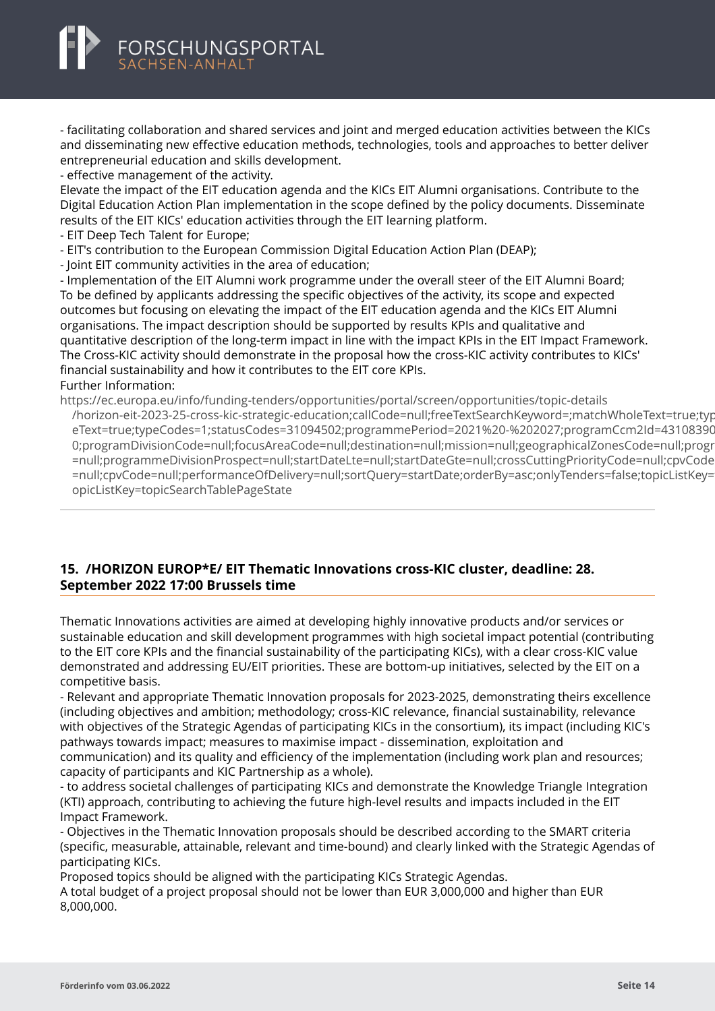<span id="page-15-0"></span>- facilitating collaboration and shared services and joint and merged education activities between the KICs and disseminating new effective education methods, technologies, tools and approaches to better deliver entrepreneurial education and skills development.

- effective management of the activity.

Elevate the impact of the EIT education agenda and the KICs EIT Alumni organisations. Contribute to the Digital Education Action Plan implementation in the scope defined by the policy documents. Disseminate results of the EIT KICs' education activities through the EIT learning platform.

- EIT Deep Tech Talent for Europe;
- EIT's contribution to the European Commission Digital Education Action Plan (DEAP);
- Joint EIT community activities in the area of education;

- Implementation of the EIT Alumni work programme under the overall steer of the EIT Alumni Board; To be defined by applicants addressing the specific objectives of the activity, its scope and expected outcomes but focusing on elevating the impact of the EIT education agenda and the KICs EIT Alumni organisations. The impact description should be supported by results KPIs and qualitative and quantitative description of the long-term impact in line with the impact KPIs in the EIT Impact Framework. The Cross-KIC activity should demonstrate in the proposal how the cross-KIC activity contributes to KICs' financial sustainability and how it contributes to the EIT core KPIs. Further Information:

https://ec.europa.eu/info/funding-tenders/opportunities/portal/screen/opportunities/topic-details [/horizon-eit-2023-25-cross-kic-strategic-education;callCode=null;freeTextSearchKeyword=;matchWholeTe](https://ec.europa.eu/info/funding-tenders/opportunities/portal/screen/opportunities/topic-details/horizon-eit-2023-25-cross-kic-strategic-education;callCode=null;freeTextSearchKeyword=;matchWholeText=true;typeCodes=1;statusCodes=31094502;programmePeriod=2021%20-%202027;programCcm2Id=43108390;programDivisionCode=null;focusAreaCode=null;destination=null;mission=null;geographicalZonesCode=null;programmeDivisionProspect=null;startDateLte=null;startDateGte=null;crossCuttingPriorityCode=null;cpvCode=null;performanceOfDelivery=null;sortQuery=startDate;orderBy=asc;onlyTenders=false;topicListKey=topicSearchTablePageState)xt=true;typ eText=true;typeCodes=1;statusCodes=31094502;programmePeriod=2021%20-%202027;programCcm2Id=43108390 0:programDivisionCode=null:focusAreaCode=null:destination=null:mission=null:geographicalZonesCode=null:progr =null;programmeDivisionProspect=null;startDateLte=null;startDateGte=null;crossCuttingPriorityCode=null;cpvCode =null;cpvCode=null;performanceOfDelivery=null;sortQuery=startDate;orderBy=asc;onlyTenders=false;topicListKey= opicListKey=topicSearchTablePageState

#### **15. /HORIZON EUROP\*E/ EIT Thematic Innovations cross-KIC cluster, deadline: 28. September 2022 17:00 Brussels time**

Thematic Innovations activities are aimed at developing highly innovative products and/or services or sustainable education and skill development programmes with high societal impact potential (contributing to the EIT core KPIs and the financial sustainability of the participating KICs), with a clear cross-KIC value demonstrated and addressing EU/EIT priorities. These are bottom-up initiatives, selected by the EIT on a competitive basis.

- Relevant and appropriate Thematic Innovation proposals for 2023-2025, demonstrating theirs excellence (including objectives and ambition; methodology; cross-KIC relevance, financial sustainability, relevance with objectives of the Strategic Agendas of participating KICs in the consortium), its impact (including KIC's pathways towards impact; measures to maximise impact - dissemination, exploitation and communication) and its quality and efficiency of the implementation (including work plan and resources; capacity of participants and KIC Partnership as a whole).

- to address societal challenges of participating KICs and demonstrate the Knowledge Triangle Integration (KTI) approach, contributing to achieving the future high-level results and impacts included in the EIT Impact Framework.

- Objectives in the Thematic Innovation proposals should be described according to the SMART criteria (specific, measurable, attainable, relevant and time-bound) and clearly linked with the Strategic Agendas of participating KICs.

Proposed topics should be aligned with the participating KICs Strategic Agendas.

A total budget of a project proposal should not be lower than EUR 3,000,000 and higher than EUR 8,000,000.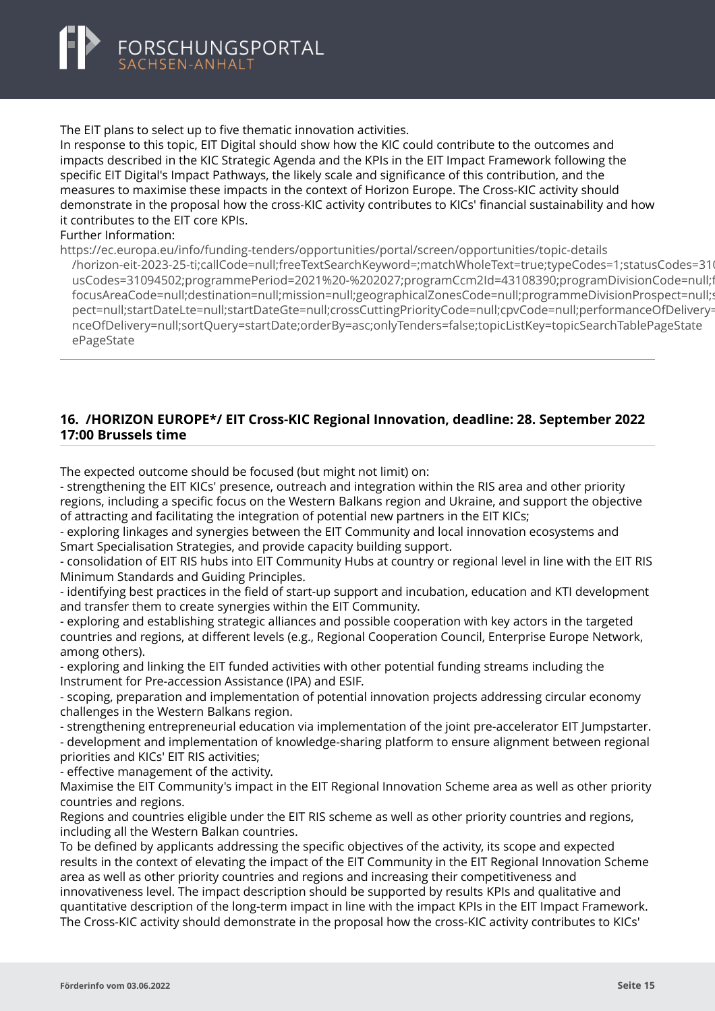<span id="page-16-0"></span>

The EIT plans to select up to five thematic innovation activities.

In response to this topic, EIT Digital should show how the KIC could contribute to the outcomes and impacts described in the KIC Strategic Agenda and the KPIs in the EIT Impact Framework following the specific EIT Digital's Impact Pathways, the likely scale and significance of this contribution, and the measures to maximise these impacts in the context of Horizon Europe. The Cross-KIC activity should demonstrate in the proposal how the cross-KIC activity contributes to KICs' financial sustainability and how it contributes to the EIT core KPIs.

#### Further Information:

https://ec.europa.eu/info/funding-tenders/opportunities/portal/screen/opportunities/topic-details

[/horizon-eit-2023-25-ti;callCode=null;freeTextSearchKeyword=;matchWholeText=true;typeCodes=1;status](https://ec.europa.eu/info/funding-tenders/opportunities/portal/screen/opportunities/topic-details/horizon-eit-2023-25-ti;callCode=null;freeTextSearchKeyword=;matchWholeText=true;typeCodes=1;statusCodes=31094502;programmePeriod=2021%20-%202027;programCcm2Id=43108390;programDivisionCode=null;focusAreaCode=null;destination=null;mission=null;geographicalZonesCode=null;programmeDivisionProspect=null;startDateLte=null;startDateGte=null;crossCuttingPriorityCode=null;cpvCode=null;performanceOfDelivery=null;sortQuery=startDate;orderBy=asc;onlyTenders=false;topicListKey=topicSearchTablePageState)Codes=310 usCodes=31094502;programmePeriod=2021%20-%202027;programCcm2ld=43108390;programDivisionCode=null;f focusAreaCode=null;destination=null;mission=null;geographicalZonesCode=null;programmeDivisionProspect=null; pect=null;startDateLte=null;startDateGte=null;crossCuttingPriorityCode=null;cpyCode=null;performanceOfDelivery= nceOfDelivery=null;sortQuery=startDate;orderBy=asc;onlyTenders=false;topicListKey=topicSearchTablePageState ePageState

#### **16. /HORIZON EUROPE\*/ EIT Cross-KIC Regional Innovation, deadline: 28. September 2022 17:00 Brussels time**

The expected outcome should be focused (but might not limit) on:

- strengthening the EIT KICs' presence, outreach and integration within the RIS area and other priority regions, including a specific focus on the Western Balkans region and Ukraine, and support the objective of attracting and facilitating the integration of potential new partners in the EIT KICs;

- exploring linkages and synergies between the EIT Community and local innovation ecosystems and Smart Specialisation Strategies, and provide capacity building support.

- consolidation of EIT RIS hubs into EIT Community Hubs at country or regional level in line with the EIT RIS Minimum Standards and Guiding Principles.

- identifying best practices in the field of start-up support and incubation, education and KTI development and transfer them to create synergies within the EIT Community.

- exploring and establishing strategic alliances and possible cooperation with key actors in the targeted countries and regions, at different levels (e.g., Regional Cooperation Council, Enterprise Europe Network, among others).

- exploring and linking the EIT funded activities with other potential funding streams including the Instrument for Pre-accession Assistance (IPA) and ESIF.

- scoping, preparation and implementation of potential innovation projects addressing circular economy challenges in the Western Balkans region.

- strengthening entrepreneurial education via implementation of the joint pre-accelerator EIT Jumpstarter.

- development and implementation of knowledge-sharing platform to ensure alignment between regional priorities and KICs' EIT RIS activities;

- effective management of the activity.

Maximise the EIT Community's impact in the EIT Regional Innovation Scheme area as well as other priority countries and regions.

Regions and countries eligible under the EIT RIS scheme as well as other priority countries and regions, including all the Western Balkan countries.

To be defined by applicants addressing the specific objectives of the activity, its scope and expected results in the context of elevating the impact of the EIT Community in the EIT Regional Innovation Scheme area as well as other priority countries and regions and increasing their competitiveness and innovativeness level. The impact description should be supported by results KPIs and qualitative and

quantitative description of the long-term impact in line with the impact KPIs in the EIT Impact Framework. The Cross-KIC activity should demonstrate in the proposal how the cross-KIC activity contributes to KICs'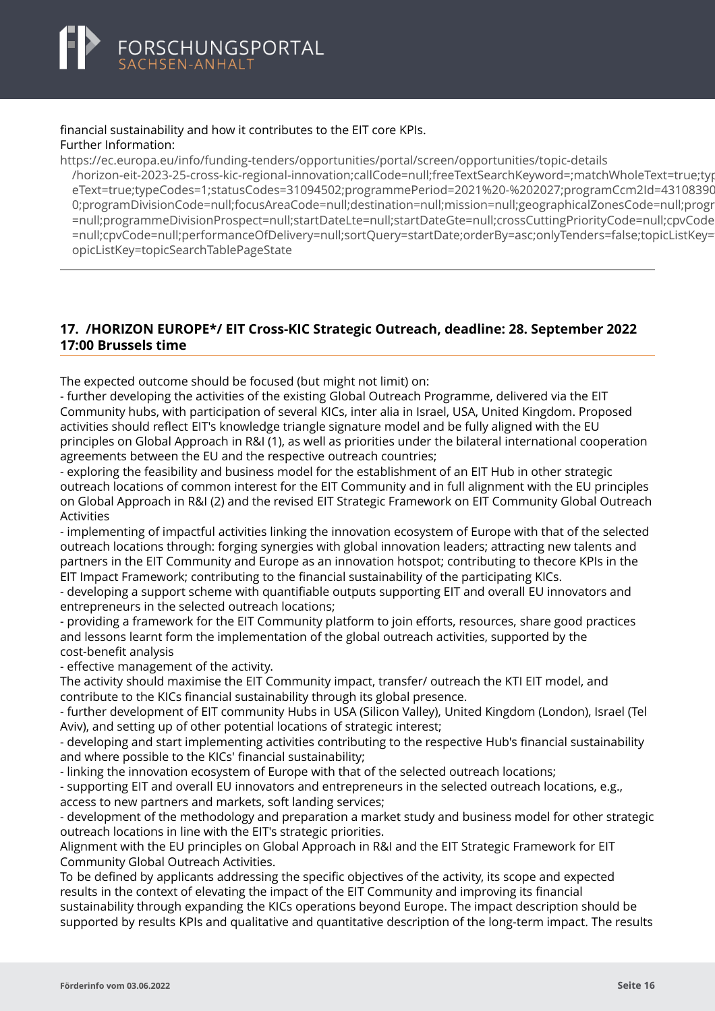#### <span id="page-17-0"></span>financial sustainability and how it contributes to the EIT core KPIs. Further Information:

https://ec.europa.eu/info/funding-tenders/opportunities/portal/screen/opportunities/topic-details [/horizon-eit-2023-25-cross-kic-regional-innovation;callCode=null;freeTextSearchKeyword=;matchWholeTe](https://ec.europa.eu/info/funding-tenders/opportunities/portal/screen/opportunities/topic-details/horizon-eit-2023-25-cross-kic-regional-innovation;callCode=null;freeTextSearchKeyword=;matchWholeText=true;typeCodes=1;statusCodes=31094502;programmePeriod=2021%20-%202027;programCcm2Id=43108390;programDivisionCode=null;focusAreaCode=null;destination=null;mission=null;geographicalZonesCode=null;programmeDivisionProspect=null;startDateLte=null;startDateGte=null;crossCuttingPriorityCode=null;cpvCode=null;performanceOfDelivery=null;sortQuery=startDate;orderBy=asc;onlyTenders=false;topicListKey=topicSearchTablePageState)xt=true;typ eText=true;typeCodes=1;statusCodes=31094502;programmePeriod=2021%20-%202027;programCcm2ld=43108390 0:programDivisionCode=null:focusAreaCode=null:destination=null:mission=null:geographicalZonesCode=null:progr =null:programmeDivisionProspect=null:startDateLte=null:startDateGte=null:crossCuttingPriorityCode=null:cpyCode =null;cpvCode=null;performanceOfDelivery=null;sortQuery=startDate;orderBy=asc;onlyTenders=false;topicListKey= opicListKey=topicSearchTablePageState

#### **17. /HORIZON EUROPE\*/ EIT Cross-KIC Strategic Outreach, deadline: 28. September 2022 17:00 Brussels time**

The expected outcome should be focused (but might not limit) on:

- further developing the activities of the existing Global Outreach Programme, delivered via the EIT Community hubs, with participation of several KICs, inter alia in Israel, USA, United Kingdom. Proposed activities should reflect EIT's knowledge triangle signature model and be fully aligned with the EU principles on Global Approach in R&I (1), as well as priorities under the bilateral international cooperation agreements between the EU and the respective outreach countries;

- exploring the feasibility and business model for the establishment of an EIT Hub in other strategic outreach locations of common interest for the EIT Community and in full alignment with the EU principles on Global Approach in R&I (2) and the revised EIT Strategic Framework on EIT Community Global Outreach Activities

- implementing of impactful activities linking the innovation ecosystem of Europe with that of the selected outreach locations through: forging synergies with global innovation leaders; attracting new talents and partners in the EIT Community and Europe as an innovation hotspot; contributing to thecore KPIs in the EIT Impact Framework; contributing to the financial sustainability of the participating KICs.

- developing a support scheme with quantifiable outputs supporting EIT and overall EU innovators and entrepreneurs in the selected outreach locations;

- providing a framework for the EIT Community platform to join efforts, resources, share good practices and lessons learnt form the implementation of the global outreach activities, supported by the cost-benefit analysis

- effective management of the activity.

The activity should maximise the EIT Community impact, transfer/ outreach the KTI EIT model, and contribute to the KICs financial sustainability through its global presence.

- further development of EIT community Hubs in USA (Silicon Valley), United Kingdom (London), Israel (Tel Aviv), and setting up of other potential locations of strategic interest;

- developing and start implementing activities contributing to the respective Hub's financial sustainability and where possible to the KICs' financial sustainability;

- linking the innovation ecosystem of Europe with that of the selected outreach locations;

- supporting EIT and overall EU innovators and entrepreneurs in the selected outreach locations, e.g., access to new partners and markets, soft landing services;

- development of the methodology and preparation a market study and business model for other strategic outreach locations in line with the EIT's strategic priorities.

Alignment with the EU principles on Global Approach in R&I and the EIT Strategic Framework for EIT Community Global Outreach Activities.

To be defined by applicants addressing the specific objectives of the activity, its scope and expected results in the context of elevating the impact of the EIT Community and improving its financial sustainability through expanding the KICs operations beyond Europe. The impact description should be supported by results KPIs and qualitative and quantitative description of the long-term impact. The results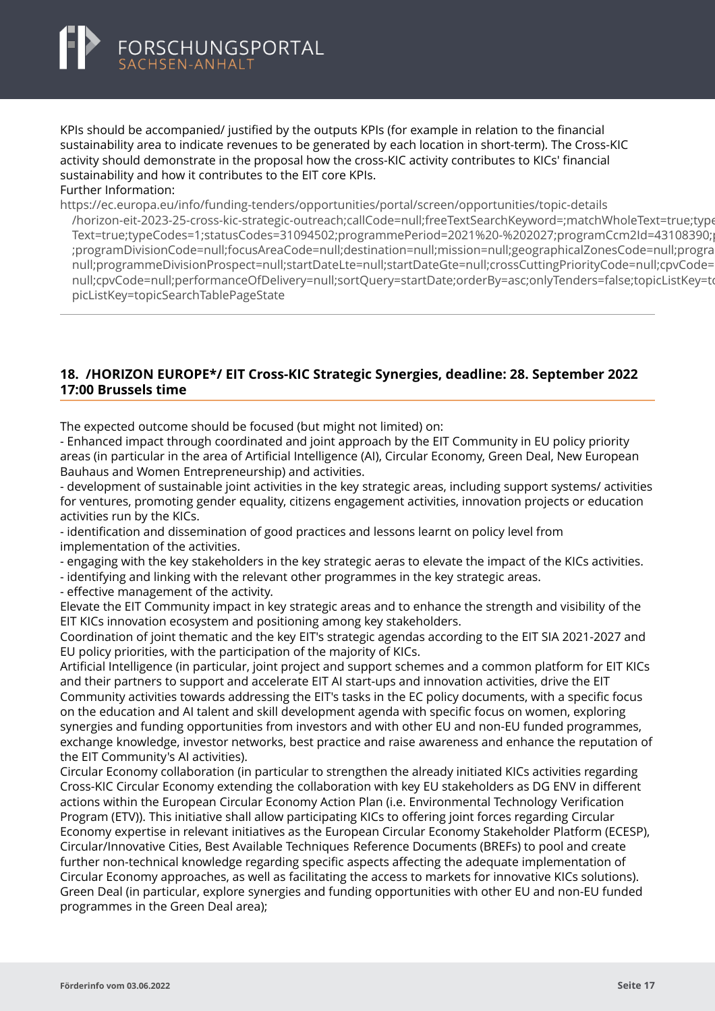<span id="page-18-0"></span>KPIs should be accompanied/ justified by the outputs KPIs (for example in relation to the financial sustainability area to indicate revenues to be generated by each location in short-term). The Cross-KIC activity should demonstrate in the proposal how the cross-KIC activity contributes to KICs' financial sustainability and how it contributes to the EIT core KPIs.

Further Information:

https://ec.europa.eu/info/funding-tenders/opportunities/portal/screen/opportunities/topic-details

[/horizon-eit-2023-25-cross-kic-strategic-outreach;callCode=null;freeTextSearchKeyword=;matchWholeTex](https://ec.europa.eu/info/funding-tenders/opportunities/portal/screen/opportunities/topic-details/horizon-eit-2023-25-cross-kic-strategic-outreach;callCode=null;freeTextSearchKeyword=;matchWholeText=true;typeCodes=1;statusCodes=31094502;programmePeriod=2021%20-%202027;programCcm2Id=43108390;programDivisionCode=null;focusAreaCode=null;destination=null;mission=null;geographicalZonesCode=null;programmeDivisionProspect=null;startDateLte=null;startDateGte=null;crossCuttingPriorityCode=null;cpvCode=null;performanceOfDelivery=null;sortQuery=startDate;orderBy=asc;onlyTenders=false;topicListKey=topicSearchTablePageState)t=true;type Text=true;typeCodes=1;statusCodes=31094502;programmePeriod=2021%20-%202027;programCcm2ld=43108390; ;programDivisionCode=null;focusAreaCode=null;destination=null;mission=null;geographicalZonesCode=null;progra null;programmeDivisionProspect=null;startDateLte=null;startDateGte=null;crossCuttingPriorityCode=null;cpvCode= null;cpvCode=null;performanceOfDelivery=null;sortQuery=startDate;orderBy=asc;onlyTenders=false;topicListKey=to picListKey=topicSearchTablePageState

#### **18. /HORIZON EUROPE\*/ EIT Cross-KIC Strategic Synergies, deadline: 28. September 2022 17:00 Brussels time**

The expected outcome should be focused (but might not limited) on:

- Enhanced impact through coordinated and joint approach by the EIT Community in EU policy priority areas (in particular in the area of Artificial Intelligence (AI), Circular Economy, Green Deal, New European Bauhaus and Women Entrepreneurship) and activities.

- development of sustainable joint activities in the key strategic areas, including support systems/ activities for ventures, promoting gender equality, citizens engagement activities, innovation projects or education activities run by the KICs.

- identification and dissemination of good practices and lessons learnt on policy level from implementation of the activities.

- engaging with the key stakeholders in the key strategic aeras to elevate the impact of the KICs activities.

- identifying and linking with the relevant other programmes in the key strategic areas.

- effective management of the activity.

Elevate the EIT Community impact in key strategic areas and to enhance the strength and visibility of the EIT KICs innovation ecosystem and positioning among key stakeholders.

Coordination of joint thematic and the key EIT's strategic agendas according to the EIT SIA 2021-2027 and EU policy priorities, with the participation of the majority of KICs.

Artificial Intelligence (in particular, joint project and support schemes and a common platform for EIT KICs and their partners to support and accelerate EIT AI start-ups and innovation activities, drive the EIT Community activities towards addressing the EIT's tasks in the EC policy documents, with a specific focus on the education and AI talent and skill development agenda with specific focus on women, exploring synergies and funding opportunities from investors and with other EU and non-EU funded programmes, exchange knowledge, investor networks, best practice and raise awareness and enhance the reputation of the EIT Community's AI activities).

Circular Economy collaboration (in particular to strengthen the already initiated KICs activities regarding Cross-KIC Circular Economy extending the collaboration with key EU stakeholders as DG ENV in different actions within the European Circular Economy Action Plan (i.e. Environmental Technology Verification Program (ETV)). This initiative shall allow participating KICs to offering joint forces regarding Circular Economy expertise in relevant initiatives as the European Circular Economy Stakeholder Platform (ECESP), Circular/Innovative Cities, Best Available Techniques Reference Documents (BREFs) to pool and create further non-technical knowledge regarding specific aspects affecting the adequate implementation of Circular Economy approaches, as well as facilitating the access to markets for innovative KICs solutions). Green Deal (in particular, explore synergies and funding opportunities with other EU and non-EU funded programmes in the Green Deal area);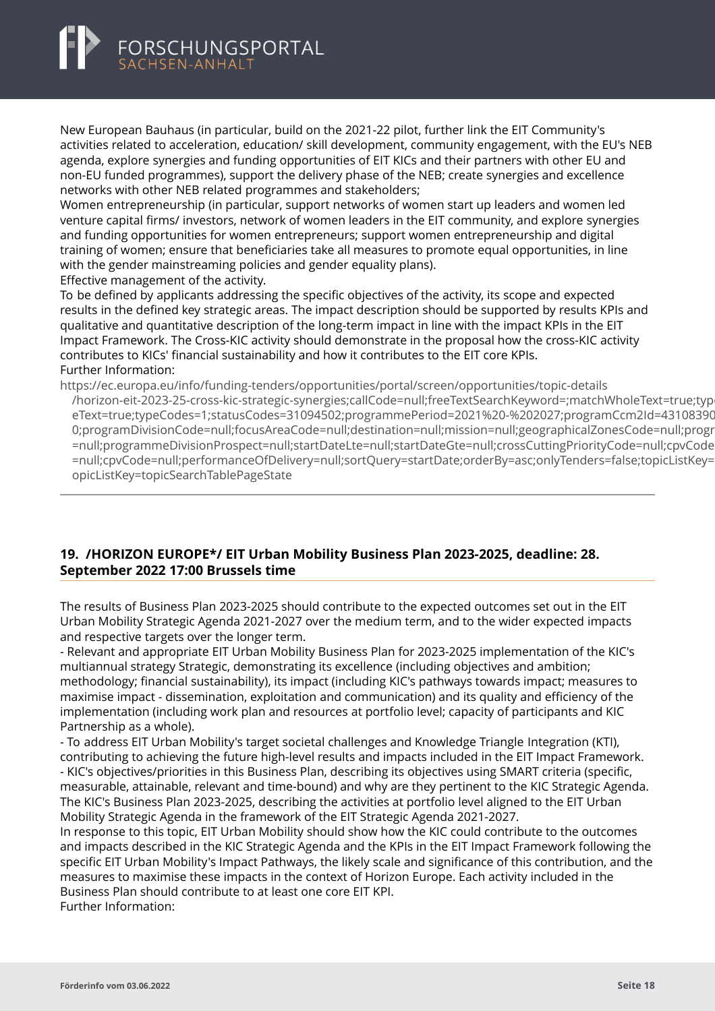## <span id="page-19-0"></span>FORSCHUNGSPORTAL

New European Bauhaus (in particular, build on the 2021-22 pilot, further link the EIT Community's activities related to acceleration, education/ skill development, community engagement, with the EU's NEB agenda, explore synergies and funding opportunities of EIT KICs and their partners with other EU and non-EU funded programmes), support the delivery phase of the NEB; create synergies and excellence networks with other NEB related programmes and stakeholders;

Women entrepreneurship (in particular, support networks of women start up leaders and women led venture capital firms/ investors, network of women leaders in the EIT community, and explore synergies and funding opportunities for women entrepreneurs; support women entrepreneurship and digital training of women; ensure that beneficiaries take all measures to promote equal opportunities, in line with the gender mainstreaming policies and gender equality plans).

Effective management of the activity.

To be defined by applicants addressing the specific objectives of the activity, its scope and expected results in the defined key strategic areas. The impact description should be supported by results KPIs and qualitative and quantitative description of the long-term impact in line with the impact KPIs in the EIT Impact Framework. The Cross-KIC activity should demonstrate in the proposal how the cross-KIC activity contributes to KICs' financial sustainability and how it contributes to the EIT core KPIs. Further Information:

https://ec.europa.eu/info/funding-tenders/opportunities/portal/screen/opportunities/topic-details [/horizon-eit-2023-25-cross-kic-strategic-synergies;callCode=null;freeTextSearchKeyword=;matchWholeTex](https://ec.europa.eu/info/funding-tenders/opportunities/portal/screen/opportunities/topic-details/horizon-eit-2023-25-cross-kic-strategic-synergies;callCode=null;freeTextSearchKeyword=;matchWholeText=true;typeCodes=1;statusCodes=31094502;programmePeriod=2021%20-%202027;programCcm2Id=43108390;programDivisionCode=null;focusAreaCode=null;destination=null;mission=null;geographicalZonesCode=null;programmeDivisionProspect=null;startDateLte=null;startDateGte=null;crossCuttingPriorityCode=null;cpvCode=null;performanceOfDelivery=null;sortQuery=startDate;orderBy=asc;onlyTenders=false;topicListKey=topicSearchTablePageState)t=true;typ eText=true;typeCodes=1;statusCodes=31094502;programmePeriod=2021%20-%202027;programCcm2ld=43108390 0;programDivisionCode=null;focusAreaCode=null;destination=null;mission=null;geographicalZonesCode=null;prograp =null:programmeDivisionProspect=null:startDateLte=null:startDateGte=null:crossCuttingPriorityCode=null:cpyCode =null;cpvCode=null;performanceOfDelivery=null;sortQuery=startDate;orderBy=asc;onlyTenders=false;topicListKey= opicListKey=topicSearchTablePageState

#### **19. /HORIZON EUROPE\*/ EIT Urban Mobility Business Plan 2023-2025, deadline: 28. September 2022 17:00 Brussels time**

The results of Business Plan 2023-2025 should contribute to the expected outcomes set out in the EIT Urban Mobility Strategic Agenda 2021-2027 over the medium term, and to the wider expected impacts and respective targets over the longer term.

- Relevant and appropriate EIT Urban Mobility Business Plan for 2023-2025 implementation of the KIC's multiannual strategy Strategic, demonstrating its excellence (including objectives and ambition; methodology; financial sustainability), its impact (including KIC's pathways towards impact; measures to maximise impact - dissemination, exploitation and communication) and its quality and efficiency of the implementation (including work plan and resources at portfolio level; capacity of participants and KIC Partnership as a whole).

- To address EIT Urban Mobility's target societal challenges and Knowledge Triangle Integration (KTI), contributing to achieving the future high-level results and impacts included in the EIT Impact Framework. - KIC's objectives/priorities in this Business Plan, describing its objectives using SMART criteria (specific, measurable, attainable, relevant and time-bound) and why are they pertinent to the KIC Strategic Agenda. The KIC's Business Plan 2023-2025, describing the activities at portfolio level aligned to the EIT Urban Mobility Strategic Agenda in the framework of the EIT Strategic Agenda 2021-2027.

In response to this topic, EIT Urban Mobility should show how the KIC could contribute to the outcomes and impacts described in the KIC Strategic Agenda and the KPIs in the EIT Impact Framework following the specific EIT Urban Mobility's Impact Pathways, the likely scale and significance of this contribution, and the measures to maximise these impacts in the context of Horizon Europe. Each activity included in the Business Plan should contribute to at least one core EIT KPI. Further Information: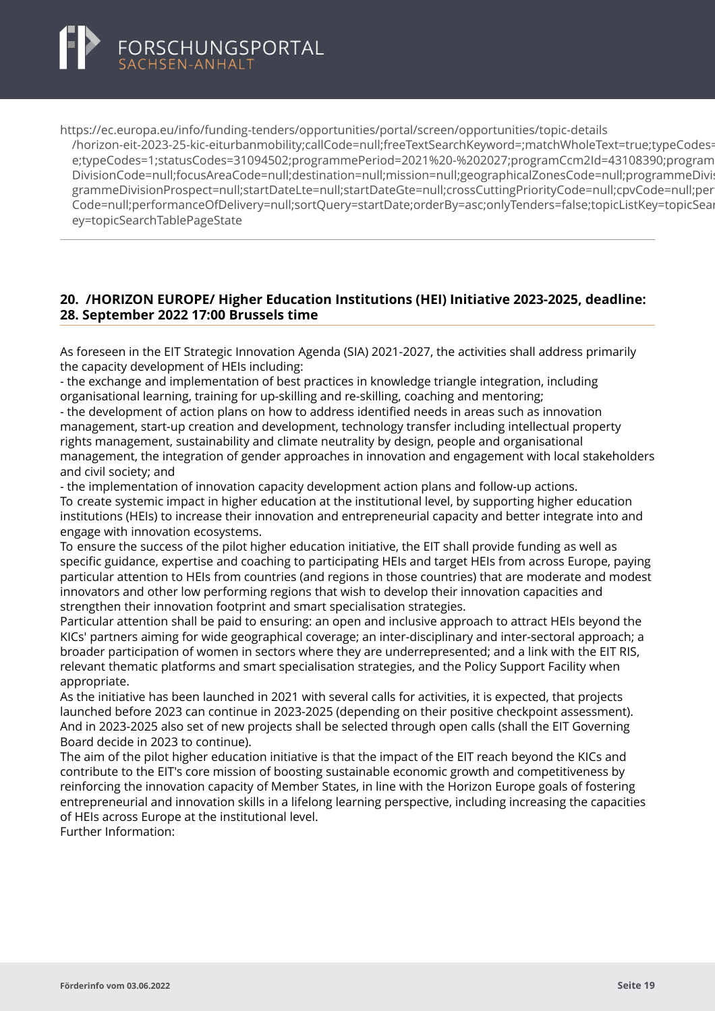<span id="page-20-0"></span>https://ec.europa.eu/info/funding-tenders/opportunities/portal/screen/opportunities/topic-details [/horizon-eit-2023-25-kic-eiturbanmobility;callCode=null;freeTextSearchKeyword=;matchWholeText=true;t](https://ec.europa.eu/info/funding-tenders/opportunities/portal/screen/opportunities/topic-details/horizon-eit-2023-25-kic-eiturbanmobility;callCode=null;freeTextSearchKeyword=;matchWholeText=true;typeCodes=1;statusCodes=31094502;programmePeriod=2021%20-%202027;programCcm2Id=43108390;programDivisionCode=null;focusAreaCode=null;destination=null;mission=null;geographicalZonesCode=null;programmeDivisionProspect=null;startDateLte=null;startDateGte=null;crossCuttingPriorityCode=null;cpvCode=null;performanceOfDelivery=null;sortQuery=startDate;orderBy=asc;onlyTenders=false;topicListKey=topicSearchTablePageState)ypeCodes= e;typeCodes=1;statusCodes=31094502;programmePeriod=2021%20-%202027;programCcm2Id=43108390;program DivisionCode=null:focusAreaCode=null:destination=null:mission=null:geographicalZonesCode=null:programmeDivi grammeDivisionProspect=null;startDateLte=null;startDateGte=null;crossCuttingPriorityCode=null;cpvCode=null;per Code=null;performanceOfDelivery=null;sortQuery=startDate;orderBy=asc;onlyTenders=false;topicListKey=topicSearchTablePageState ey=topicSearchTablePageState

#### **20. /HORIZON EUROPE/ Higher Education Institutions (HEI) Initiative 2023-2025, deadline: 28. September 2022 17:00 Brussels time**

As foreseen in the EIT Strategic Innovation Agenda (SIA) 2021-2027, the activities shall address primarily the capacity development of HEIs including:

- the exchange and implementation of best practices in knowledge triangle integration, including organisational learning, training for up-skilling and re-skilling, coaching and mentoring;

- the development of action plans on how to address identified needs in areas such as innovation management, start-up creation and development, technology transfer including intellectual property rights management, sustainability and climate neutrality by design, people and organisational management, the integration of gender approaches in innovation and engagement with local stakeholders and civil society; and

- the implementation of innovation capacity development action plans and follow-up actions. To create systemic impact in higher education at the institutional level, by supporting higher education institutions (HEIs) to increase their innovation and entrepreneurial capacity and better integrate into and engage with innovation ecosystems.

To ensure the success of the pilot higher education initiative, the EIT shall provide funding as well as specific guidance, expertise and coaching to participating HEIs and target HEIs from across Europe, paying particular attention to HEIs from countries (and regions in those countries) that are moderate and modest innovators and other low performing regions that wish to develop their innovation capacities and strengthen their innovation footprint and smart specialisation strategies.

Particular attention shall be paid to ensuring: an open and inclusive approach to attract HEIs beyond the KICs' partners aiming for wide geographical coverage; an inter-disciplinary and inter-sectoral approach; a broader participation of women in sectors where they are underrepresented; and a link with the EIT RIS, relevant thematic platforms and smart specialisation strategies, and the Policy Support Facility when appropriate.

As the initiative has been launched in 2021 with several calls for activities, it is expected, that projects launched before 2023 can continue in 2023-2025 (depending on their positive checkpoint assessment). And in 2023-2025 also set of new projects shall be selected through open calls (shall the EIT Governing Board decide in 2023 to continue).

The aim of the pilot higher education initiative is that the impact of the EIT reach beyond the KICs and contribute to the EIT's core mission of boosting sustainable economic growth and competitiveness by reinforcing the innovation capacity of Member States, in line with the Horizon Europe goals of fostering entrepreneurial and innovation skills in a lifelong learning perspective, including increasing the capacities of HEIs across Europe at the institutional level.

Further Information: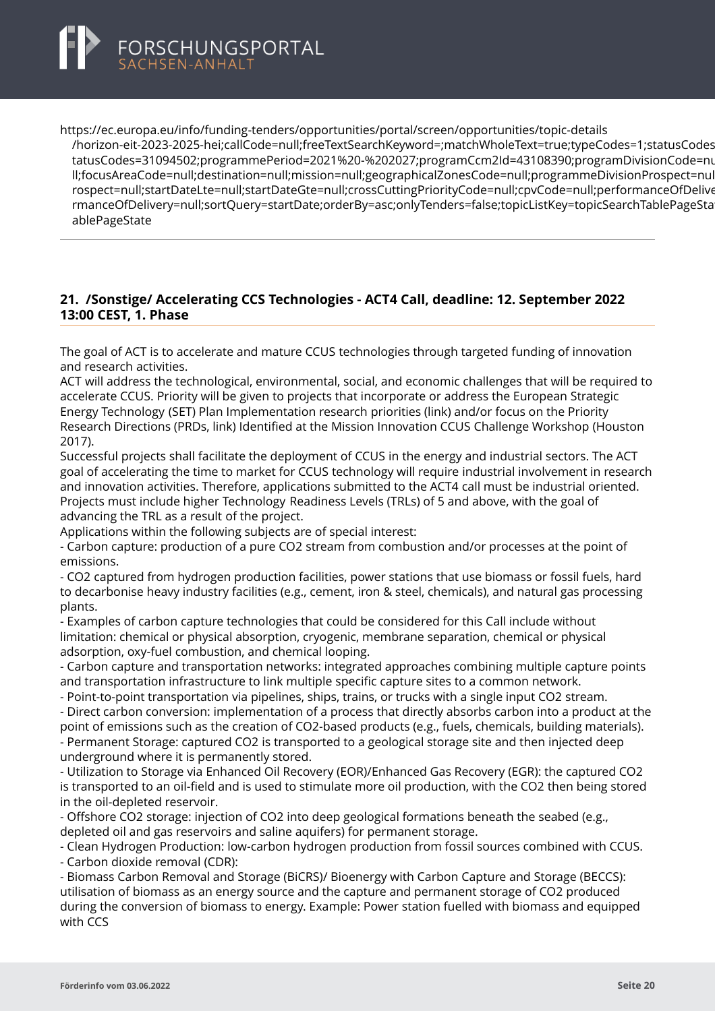<span id="page-21-0"></span>

https://ec.europa.eu/info/funding-tenders/opportunities/portal/screen/opportunities/topic-details [/horizon-eit-2023-2025-hei;callCode=null;freeTextSearchKeyword=;matchWholeText=true;typeCodes=1;st](https://ec.europa.eu/info/funding-tenders/opportunities/portal/screen/opportunities/topic-details/horizon-eit-2023-2025-hei;callCode=null;freeTextSearchKeyword=;matchWholeText=true;typeCodes=1;statusCodes=31094502;programmePeriod=2021%20-%202027;programCcm2Id=43108390;programDivisionCode=null;focusAreaCode=null;destination=null;mission=null;geographicalZonesCode=null;programmeDivisionProspect=null;startDateLte=null;startDateGte=null;crossCuttingPriorityCode=null;cpvCode=null;performanceOfDelivery=null;sortQuery=startDate;orderBy=asc;onlyTenders=false;topicListKey=topicSearchTablePageState)atusCodes=31094502;programmePeriod=2021%20-%202027;programCcm2Id=43108390;programDivisionCode=nu tatusCodes=31094502;programmePeriod=2021%20-%202027;programCcm2ld=43108390;programDivisionCode=nu ll;focusAreaCode=null;destination=null;mission=null;geographicalZonesCode=null;programmeDivisionProspect=nul rospect=null;startDateLte=null;startDateGte=null;crossCuttingPriorityCode=null;cpvCode=null;performanceOfDelive rmanceOfDelivery=null;sortQuery=startDate;orderBy=asc;onlyTenders=false;topicListKey=topicSearchTablePageState ablePageState

#### **21. /Sonstige/ Accelerating CCS Technologies - ACT4 Call, deadline: 12. September 2022 13:00 CEST, 1. Phase**

The goal of ACT is to accelerate and mature CCUS technologies through targeted funding of innovation and research activities.

ACT will address the technological, environmental, social, and economic challenges that will be required to accelerate CCUS. Priority will be given to projects that incorporate or address the European Strategic Energy Technology (SET) Plan Implementation research priorities (link) and/or focus on the Priority Research Directions (PRDs, link) Identified at the Mission Innovation CCUS Challenge Workshop (Houston 2017).

Successful projects shall facilitate the deployment of CCUS in the energy and industrial sectors. The ACT goal of accelerating the time to market for CCUS technology will require industrial involvement in research and innovation activities. Therefore, applications submitted to the ACT4 call must be industrial oriented. Projects must include higher Technology Readiness Levels (TRLs) of 5 and above, with the goal of advancing the TRL as a result of the project.

Applications within the following subjects are of special interest:

- Carbon capture: production of a pure CO2 stream from combustion and/or processes at the point of emissions.

- CO2 captured from hydrogen production facilities, power stations that use biomass or fossil fuels, hard to decarbonise heavy industry facilities (e.g., cement, iron & steel, chemicals), and natural gas processing plants.

- Examples of carbon capture technologies that could be considered for this Call include without limitation: chemical or physical absorption, cryogenic, membrane separation, chemical or physical adsorption, oxy-fuel combustion, and chemical looping.

- Carbon capture and transportation networks: integrated approaches combining multiple capture points and transportation infrastructure to link multiple specific capture sites to a common network.

- Point-to-point transportation via pipelines, ships, trains, or trucks with a single input CO2 stream.

- Direct carbon conversion: implementation of a process that directly absorbs carbon into a product at the point of emissions such as the creation of CO2-based products (e.g., fuels, chemicals, building materials). - Permanent Storage: captured CO2 is transported to a geological storage site and then injected deep

underground where it is permanently stored.

- Utilization to Storage via Enhanced Oil Recovery (EOR)/Enhanced Gas Recovery (EGR): the captured CO2 is transported to an oil-field and is used to stimulate more oil production, with the CO2 then being stored in the oil-depleted reservoir.

- Offshore CO2 storage: injection of CO2 into deep geological formations beneath the seabed (e.g., depleted oil and gas reservoirs and saline aquifers) for permanent storage.

- Clean Hydrogen Production: low-carbon hydrogen production from fossil sources combined with CCUS.

- Carbon dioxide removal (CDR):

- Biomass Carbon Removal and Storage (BiCRS)/ Bioenergy with Carbon Capture and Storage (BECCS): utilisation of biomass as an energy source and the capture and permanent storage of CO2 produced during the conversion of biomass to energy. Example: Power station fuelled with biomass and equipped with CCS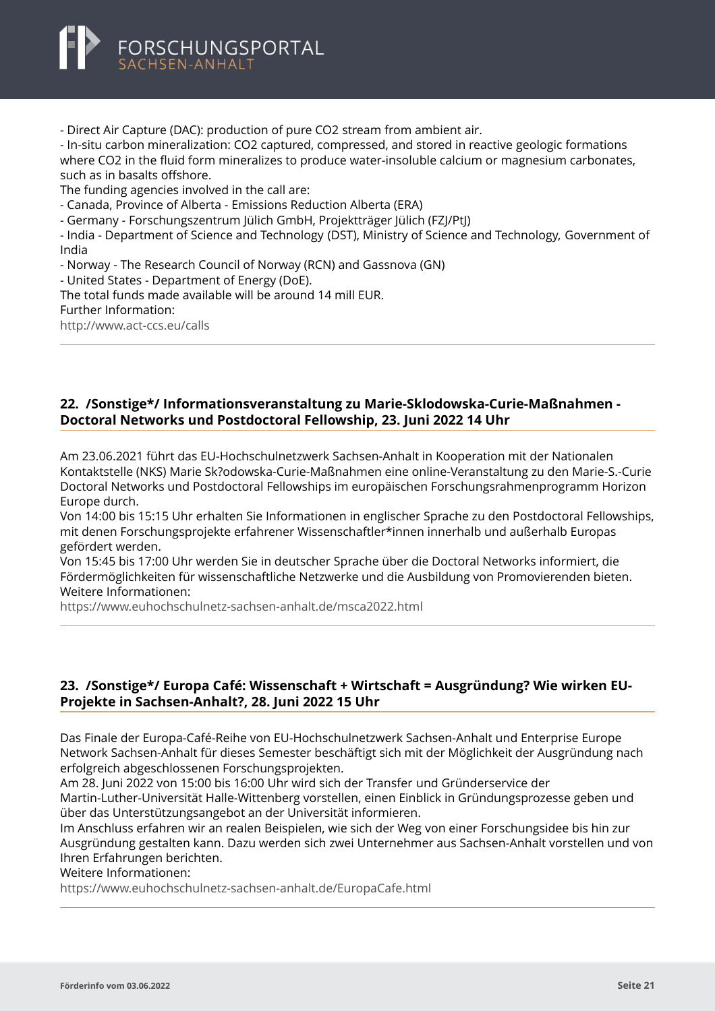<span id="page-22-0"></span>

- Direct Air Capture (DAC): production of pure CO2 stream from ambient air.

- In-situ carbon mineralization: CO2 captured, compressed, and stored in reactive geologic formations where CO2 in the fluid form mineralizes to produce water-insoluble calcium or magnesium carbonates, such as in basalts offshore.

The funding agencies involved in the call are:

- Canada, Province of Alberta - Emissions Reduction Alberta (ERA)

- Germany - Forschungszentrum Jülich GmbH, Projektträger Jülich (FZJ/PtJ)

- India - Department of Science and Technology (DST), Ministry of Science and Technology, Government of India

- Norway - The Research Council of Norway (RCN) and Gassnova (GN)

- United States - Department of Energy (DoE).

The total funds made available will be around 14 mill EUR.

Further Information:

<http://www.act-ccs.eu/calls>

#### **22. /Sonstige\*/ Informationsveranstaltung zu Marie-Sklodowska-Curie-Maßnahmen - Doctoral Networks und Postdoctoral Fellowship, 23. Juni 2022 14 Uhr**

Am 23.06.2021 führt das EU-Hochschulnetzwerk Sachsen-Anhalt in Kooperation mit der Nationalen Kontaktstelle (NKS) Marie Sk?odowska-Curie-Maßnahmen eine online-Veranstaltung zu den Marie-S.-Curie Doctoral Networks und Postdoctoral Fellowships im europäischen Forschungsrahmenprogramm Horizon Europe durch.

Von 14:00 bis 15:15 Uhr erhalten Sie Informationen in englischer Sprache zu den Postdoctoral Fellowships, mit denen Forschungsprojekte erfahrener Wissenschaftler\*innen innerhalb und außerhalb Europas gefördert werden.

Von 15:45 bis 17:00 Uhr werden Sie in deutscher Sprache über die Doctoral Networks informiert, die Fördermöglichkeiten für wissenschaftliche Netzwerke und die Ausbildung von Promovierenden bieten. Weitere Informationen:

<https://www.euhochschulnetz-sachsen-anhalt.de/msca2022.html>

#### **23. /Sonstige\*/ Europa Café: Wissenschaft + Wirtschaft = Ausgründung? Wie wirken EU-Projekte in Sachsen-Anhalt?, 28. Juni 2022 15 Uhr**

Das Finale der Europa-Café-Reihe von EU-Hochschulnetzwerk Sachsen-Anhalt und Enterprise Europe Network Sachsen-Anhalt für dieses Semester beschäftigt sich mit der Möglichkeit der Ausgründung nach erfolgreich abgeschlossenen Forschungsprojekten.

Am 28. Juni 2022 von 15:00 bis 16:00 Uhr wird sich der Transfer und Gründerservice der Martin-Luther-Universität Halle-Wittenberg vorstellen, einen Einblick in Gründungsprozesse geben und über das Unterstützungsangebot an der Universität informieren.

Im Anschluss erfahren wir an realen Beispielen, wie sich der Weg von einer Forschungsidee bis hin zur Ausgründung gestalten kann. Dazu werden sich zwei Unternehmer aus Sachsen-Anhalt vorstellen und von Ihren Erfahrungen berichten.

Weitere Informationen:

<https://www.euhochschulnetz-sachsen-anhalt.de/EuropaCafe.html>